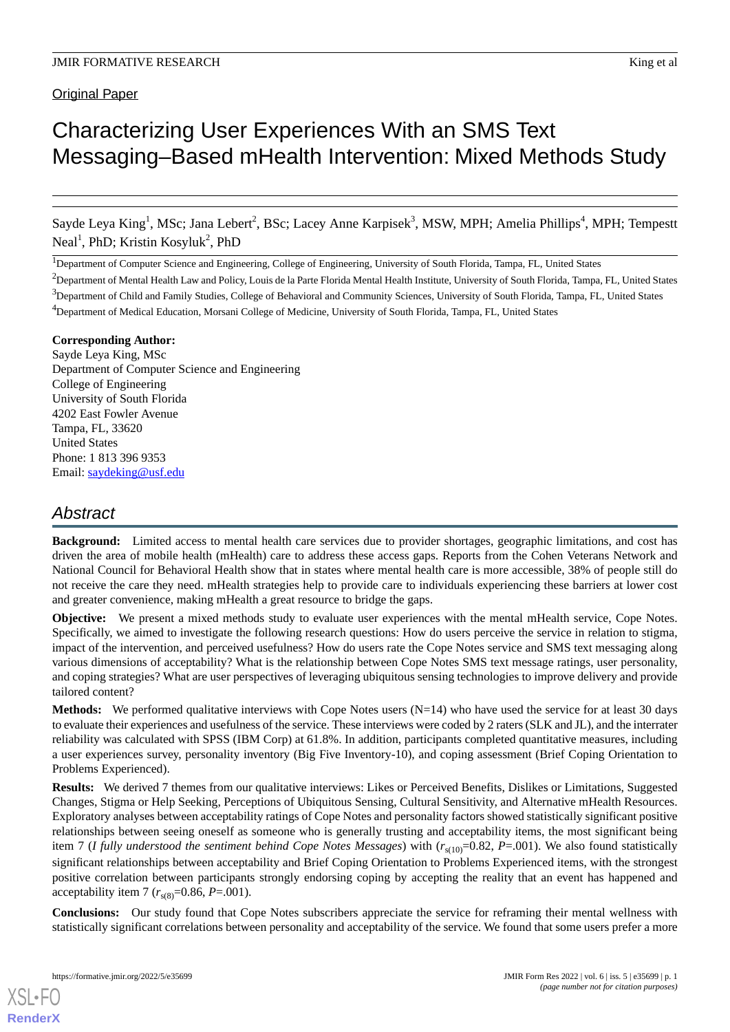**Original Paper** 

# Characterizing User Experiences With an SMS Text Messaging–Based mHealth Intervention: Mixed Methods Study

Sayde Leya King<sup>1</sup>, MSc; Jana Lebert<sup>2</sup>, BSc; Lacey Anne Karpisek<sup>3</sup>, MSW, MPH; Amelia Phillips<sup>4</sup>, MPH; Tempestt Neal<sup>1</sup>, PhD; Kristin Kosyluk<sup>2</sup>, PhD

<sup>1</sup>Department of Computer Science and Engineering, College of Engineering, University of South Florida, Tampa, FL, United States

 $<sup>2</sup>$ Department of Mental Health Law and Policy, Louis de la Parte Florida Mental Health Institute, University of South Florida, Tampa, FL, United States</sup>  $3$ Department of Child and Family Studies, College of Behavioral and Community Sciences, University of South Florida, Tampa, FL, United States <sup>4</sup>Department of Medical Education, Morsani College of Medicine, University of South Florida, Tampa, FL, United States

# **Corresponding Author:**

Sayde Leya King, MSc Department of Computer Science and Engineering College of Engineering University of South Florida 4202 East Fowler Avenue Tampa, FL, 33620 United States Phone: 1 813 396 9353 Email: [saydeking@usf.edu](mailto:saydeking@usf.edu)

# *Abstract*

**Background:** Limited access to mental health care services due to provider shortages, geographic limitations, and cost has driven the area of mobile health (mHealth) care to address these access gaps. Reports from the Cohen Veterans Network and National Council for Behavioral Health show that in states where mental health care is more accessible, 38% of people still do not receive the care they need. mHealth strategies help to provide care to individuals experiencing these barriers at lower cost and greater convenience, making mHealth a great resource to bridge the gaps.

**Objective:** We present a mixed methods study to evaluate user experiences with the mental mHealth service, Cope Notes. Specifically, we aimed to investigate the following research questions: How do users perceive the service in relation to stigma, impact of the intervention, and perceived usefulness? How do users rate the Cope Notes service and SMS text messaging along various dimensions of acceptability? What is the relationship between Cope Notes SMS text message ratings, user personality, and coping strategies? What are user perspectives of leveraging ubiquitous sensing technologies to improve delivery and provide tailored content?

**Methods:** We performed qualitative interviews with Cope Notes users (N=14) who have used the service for at least 30 days to evaluate their experiences and usefulness of the service. These interviews were coded by 2 raters (SLK and JL), and the interrater reliability was calculated with SPSS (IBM Corp) at 61.8%. In addition, participants completed quantitative measures, including a user experiences survey, personality inventory (Big Five Inventory-10), and coping assessment (Brief Coping Orientation to Problems Experienced).

**Results:** We derived 7 themes from our qualitative interviews: Likes or Perceived Benefits, Dislikes or Limitations, Suggested Changes, Stigma or Help Seeking, Perceptions of Ubiquitous Sensing, Cultural Sensitivity, and Alternative mHealth Resources. Exploratory analyses between acceptability ratings of Cope Notes and personality factors showed statistically significant positive relationships between seeing oneself as someone who is generally trusting and acceptability items, the most significant being item 7 (*I fully understood the sentiment behind Cope Notes Messages*) with  $(r_{s(10)}=0.82, P=.001)$ . We also found statistically significant relationships between acceptability and Brief Coping Orientation to Problems Experienced items, with the strongest positive correlation between participants strongly endorsing coping by accepting the reality that an event has happened and acceptability item 7  $(r_{s(8)}=0.86, P=.001)$ .

**Conclusions:** Our study found that Cope Notes subscribers appreciate the service for reframing their mental wellness with statistically significant correlations between personality and acceptability of the service. We found that some users prefer a more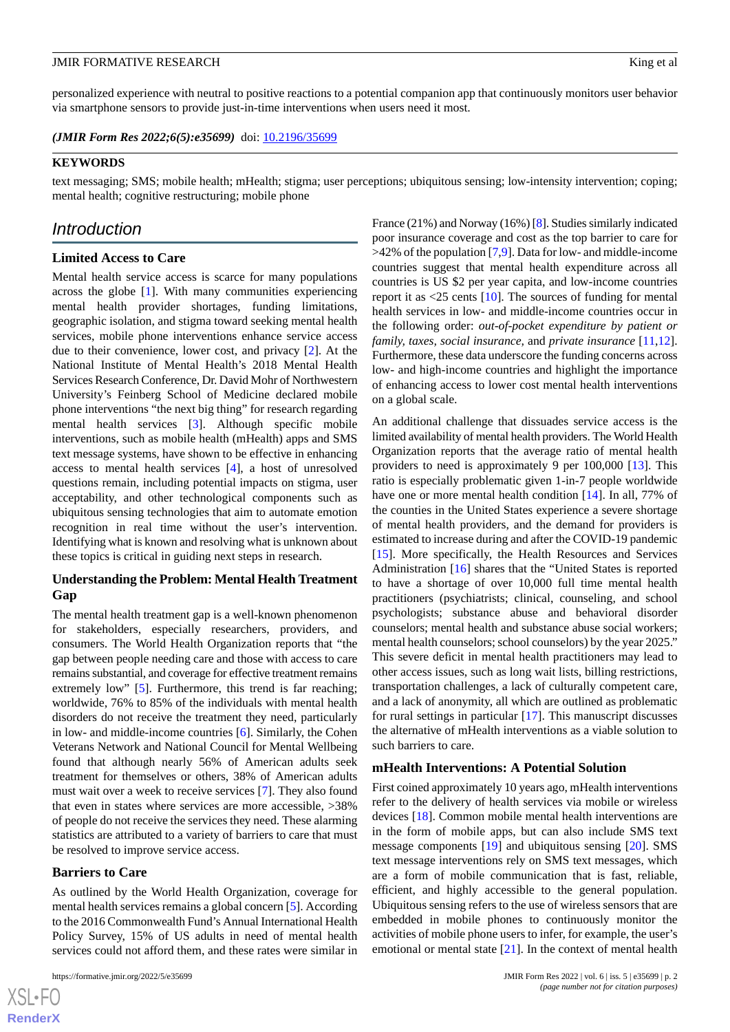personalized experience with neutral to positive reactions to a potential companion app that continuously monitors user behavior via smartphone sensors to provide just-in-time interventions when users need it most.

(JMIR Form Res 2022;6(5):e35699) doi: [10.2196/35699](http://dx.doi.org/10.2196/35699)

#### **KEYWORDS**

text messaging; SMS; mobile health; mHealth; stigma; user perceptions; ubiquitous sensing; low-intensity intervention; coping; mental health; cognitive restructuring; mobile phone

# *Introduction*

# **Limited Access to Care**

Mental health service access is scarce for many populations across the globe [\[1](#page-14-0)]. With many communities experiencing mental health provider shortages, funding limitations, geographic isolation, and stigma toward seeking mental health services, mobile phone interventions enhance service access due to their convenience, lower cost, and privacy [[2](#page-14-1)]. At the National Institute of Mental Health's 2018 Mental Health Services Research Conference, Dr. David Mohr of Northwestern University's Feinberg School of Medicine declared mobile phone interventions "the next big thing" for research regarding mental health services [\[3](#page-14-2)]. Although specific mobile interventions, such as mobile health (mHealth) apps and SMS text message systems, have shown to be effective in enhancing access to mental health services [[4\]](#page-14-3), a host of unresolved questions remain, including potential impacts on stigma, user acceptability, and other technological components such as ubiquitous sensing technologies that aim to automate emotion recognition in real time without the user's intervention. Identifying what is known and resolving what is unknown about these topics is critical in guiding next steps in research.

# **Understanding the Problem: Mental Health Treatment Gap**

The mental health treatment gap is a well-known phenomenon for stakeholders, especially researchers, providers, and consumers. The World Health Organization reports that "the gap between people needing care and those with access to care remains substantial, and coverage for effective treatment remains extremely low" [\[5](#page-14-4)]. Furthermore, this trend is far reaching; worldwide, 76% to 85% of the individuals with mental health disorders do not receive the treatment they need, particularly in low- and middle-income countries [[6\]](#page-14-5). Similarly, the Cohen Veterans Network and National Council for Mental Wellbeing found that although nearly 56% of American adults seek treatment for themselves or others, 38% of American adults must wait over a week to receive services [[7\]](#page-14-6). They also found that even in states where services are more accessible, >38% of people do not receive the services they need. These alarming statistics are attributed to a variety of barriers to care that must be resolved to improve service access.

# **Barriers to Care**

As outlined by the World Health Organization, coverage for mental health services remains a global concern [[5\]](#page-14-4). According to the 2016 Commonwealth Fund's Annual International Health Policy Survey, 15% of US adults in need of mental health services could not afford them, and these rates were similar in

France (21%) and Norway (16%) [\[8](#page-14-7)]. Studies similarly indicated poor insurance coverage and cost as the top barrier to care for  $>42\%$  of the population [[7,](#page-14-6)[9](#page-14-8)]. Data for low- and middle-income countries suggest that mental health expenditure across all countries is US \$2 per year capita, and low-income countries report it as <25 cents [[10\]](#page-14-9). The sources of funding for mental health services in low- and middle-income countries occur in the following order: *out-of-pocket expenditure by patient or family, taxes, social insurance,* and *private insurance* [\[11](#page-14-10),[12\]](#page-14-11). Furthermore, these data underscore the funding concerns across low- and high-income countries and highlight the importance of enhancing access to lower cost mental health interventions on a global scale.

An additional challenge that dissuades service access is the limited availability of mental health providers. The World Health Organization reports that the average ratio of mental health providers to need is approximately 9 per 100,000 [[13\]](#page-14-12). This ratio is especially problematic given 1-in-7 people worldwide have one or more mental health condition [\[14](#page-14-13)]. In all, 77% of the counties in the United States experience a severe shortage of mental health providers, and the demand for providers is estimated to increase during and after the COVID-19 pandemic [[15\]](#page-14-14). More specifically, the Health Resources and Services Administration [\[16](#page-14-15)] shares that the "United States is reported to have a shortage of over 10,000 full time mental health practitioners (psychiatrists; clinical, counseling, and school psychologists; substance abuse and behavioral disorder counselors; mental health and substance abuse social workers; mental health counselors; school counselors) by the year 2025." This severe deficit in mental health practitioners may lead to other access issues, such as long wait lists, billing restrictions, transportation challenges, a lack of culturally competent care, and a lack of anonymity, all which are outlined as problematic for rural settings in particular [[17\]](#page-14-16). This manuscript discusses the alternative of mHealth interventions as a viable solution to such barriers to care.

#### **mHealth Interventions: A Potential Solution**

First coined approximately 10 years ago, mHealth interventions refer to the delivery of health services via mobile or wireless devices [[18\]](#page-14-17). Common mobile mental health interventions are in the form of mobile apps, but can also include SMS text message components [\[19](#page-14-18)] and ubiquitous sensing [\[20](#page-14-19)]. SMS text message interventions rely on SMS text messages, which are a form of mobile communication that is fast, reliable, efficient, and highly accessible to the general population. Ubiquitous sensing refers to the use of wireless sensors that are embedded in mobile phones to continuously monitor the activities of mobile phone users to infer, for example, the user's emotional or mental state  $[21]$  $[21]$ . In the context of mental health

 $XSI - F($ **[RenderX](http://www.renderx.com/)**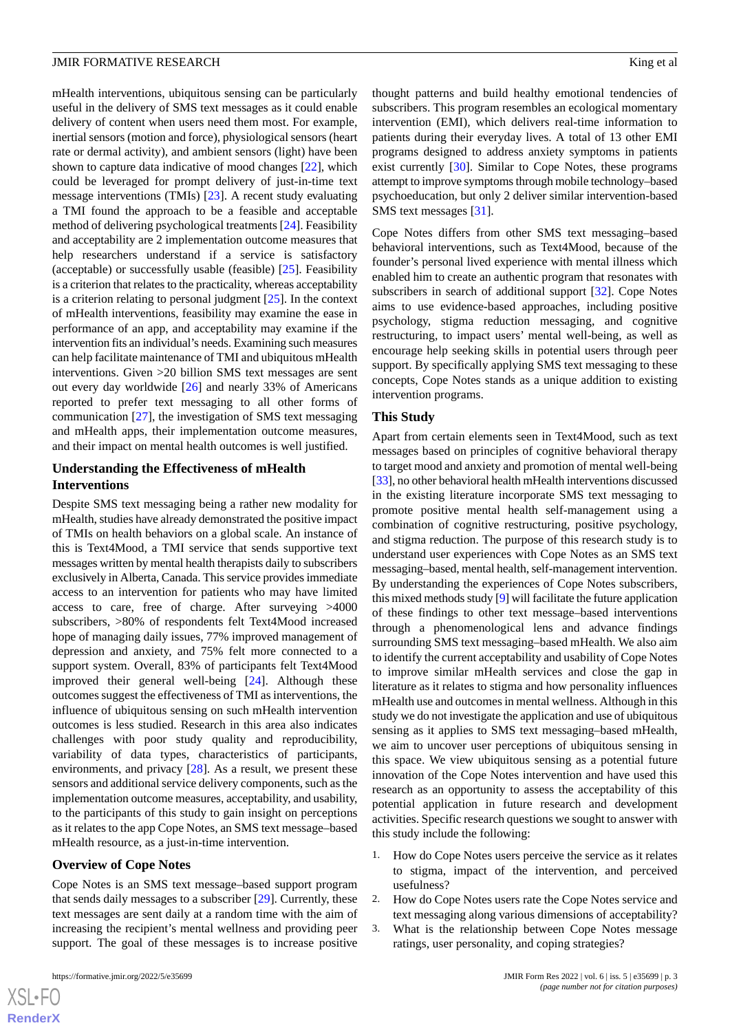# JMIR FORMATIVE RESEARCH **King et al.** Solution of the set al. All the set al. All the set al. All the set al. All the set al. All the set al. All the set al. All the set al. All the set al. All the set al. All the set al.

mHealth interventions, ubiquitous sensing can be particularly useful in the delivery of SMS text messages as it could enable delivery of content when users need them most. For example, inertial sensors (motion and force), physiological sensors (heart rate or dermal activity), and ambient sensors (light) have been shown to capture data indicative of mood changes [[22\]](#page-15-1), which could be leveraged for prompt delivery of just-in-time text message interventions (TMIs) [[23\]](#page-15-2). A recent study evaluating a TMI found the approach to be a feasible and acceptable method of delivering psychological treatments [[24\]](#page-15-3). Feasibility and acceptability are 2 implementation outcome measures that help researchers understand if a service is satisfactory (acceptable) or successfully usable (feasible) [\[25](#page-15-4)]. Feasibility is a criterion that relates to the practicality, whereas acceptability is a criterion relating to personal judgment [\[25](#page-15-4)]. In the context of mHealth interventions, feasibility may examine the ease in performance of an app, and acceptability may examine if the intervention fits an individual's needs. Examining such measures can help facilitate maintenance of TMI and ubiquitous mHealth interventions. Given >20 billion SMS text messages are sent out every day worldwide [[26\]](#page-15-5) and nearly 33% of Americans reported to prefer text messaging to all other forms of communication [[27\]](#page-15-6), the investigation of SMS text messaging and mHealth apps, their implementation outcome measures, and their impact on mental health outcomes is well justified.

# **Understanding the Effectiveness of mHealth Interventions**

Despite SMS text messaging being a rather new modality for mHealth, studies have already demonstrated the positive impact of TMIs on health behaviors on a global scale. An instance of this is Text4Mood, a TMI service that sends supportive text messages written by mental health therapists daily to subscribers exclusively in Alberta, Canada. This service provides immediate access to an intervention for patients who may have limited access to care, free of charge. After surveying >4000 subscribers, >80% of respondents felt Text4Mood increased hope of managing daily issues, 77% improved management of depression and anxiety, and 75% felt more connected to a support system. Overall, 83% of participants felt Text4Mood improved their general well-being [\[24](#page-15-3)]. Although these outcomes suggest the effectiveness of TMI as interventions, the influence of ubiquitous sensing on such mHealth intervention outcomes is less studied. Research in this area also indicates challenges with poor study quality and reproducibility, variability of data types, characteristics of participants, environments, and privacy [[28\]](#page-15-7). As a result, we present these sensors and additional service delivery components, such as the implementation outcome measures, acceptability, and usability, to the participants of this study to gain insight on perceptions as it relates to the app Cope Notes, an SMS text message–based mHealth resource, as a just-in-time intervention.

# **Overview of Cope Notes**

Cope Notes is an SMS text message–based support program that sends daily messages to a subscriber [\[29](#page-15-8)]. Currently, these text messages are sent daily at a random time with the aim of increasing the recipient's mental wellness and providing peer support. The goal of these messages is to increase positive

thought patterns and build healthy emotional tendencies of subscribers. This program resembles an ecological momentary intervention (EMI), which delivers real-time information to patients during their everyday lives. A total of 13 other EMI programs designed to address anxiety symptoms in patients exist currently [[30\]](#page-15-9). Similar to Cope Notes, these programs attempt to improve symptoms through mobile technology–based psychoeducation, but only 2 deliver similar intervention-based SMS text messages [\[31](#page-15-10)].

Cope Notes differs from other SMS text messaging–based behavioral interventions, such as Text4Mood, because of the founder's personal lived experience with mental illness which enabled him to create an authentic program that resonates with subscribers in search of additional support [\[32](#page-15-11)]. Cope Notes aims to use evidence-based approaches, including positive psychology, stigma reduction messaging, and cognitive restructuring, to impact users' mental well-being, as well as encourage help seeking skills in potential users through peer support. By specifically applying SMS text messaging to these concepts, Cope Notes stands as a unique addition to existing intervention programs.

#### **This Study**

Apart from certain elements seen in Text4Mood, such as text messages based on principles of cognitive behavioral therapy to target mood and anxiety and promotion of mental well-being [[33\]](#page-15-12), no other behavioral health mHealth interventions discussed in the existing literature incorporate SMS text messaging to promote positive mental health self-management using a combination of cognitive restructuring, positive psychology, and stigma reduction. The purpose of this research study is to understand user experiences with Cope Notes as an SMS text messaging–based, mental health, self-management intervention. By understanding the experiences of Cope Notes subscribers, this mixed methods study [\[9](#page-14-8)] will facilitate the future application of these findings to other text message–based interventions through a phenomenological lens and advance findings surrounding SMS text messaging–based mHealth. We also aim to identify the current acceptability and usability of Cope Notes to improve similar mHealth services and close the gap in literature as it relates to stigma and how personality influences mHealth use and outcomes in mental wellness. Although in this study we do not investigate the application and use of ubiquitous sensing as it applies to SMS text messaging–based mHealth, we aim to uncover user perceptions of ubiquitous sensing in this space. We view ubiquitous sensing as a potential future innovation of the Cope Notes intervention and have used this research as an opportunity to assess the acceptability of this potential application in future research and development activities. Specific research questions we sought to answer with this study include the following:

- 1. How do Cope Notes users perceive the service as it relates to stigma, impact of the intervention, and perceived usefulness?
- 2. How do Cope Notes users rate the Cope Notes service and text messaging along various dimensions of acceptability?
- 3. What is the relationship between Cope Notes message ratings, user personality, and coping strategies?

 $XS$  $\cdot$ FC **[RenderX](http://www.renderx.com/)**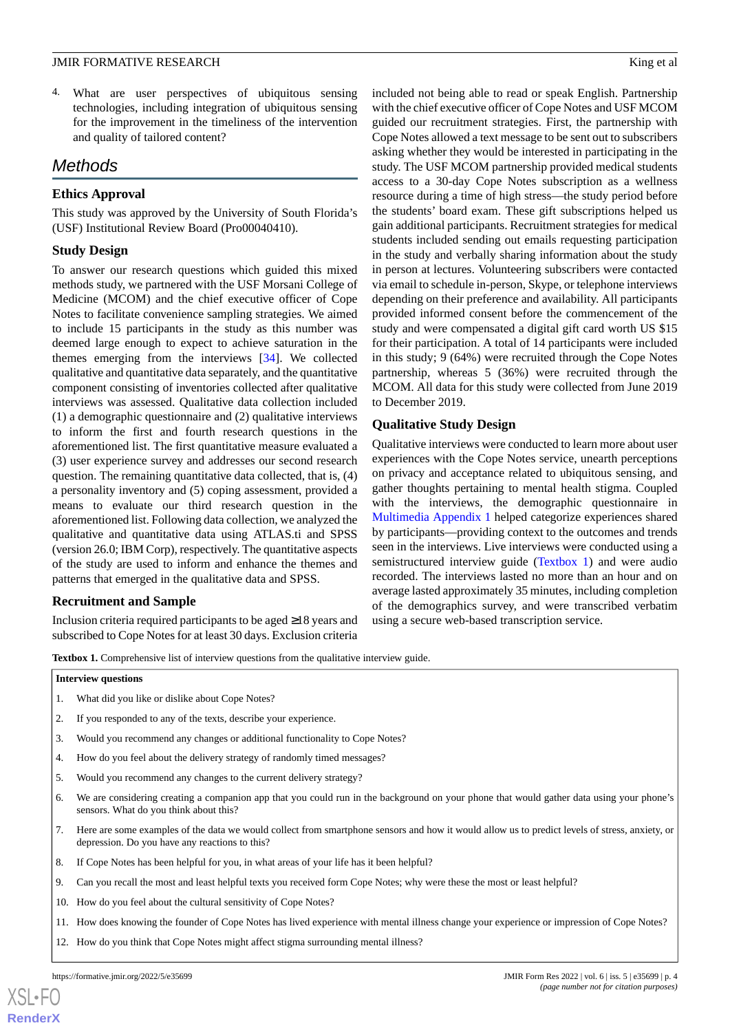# JMIR FORMATIVE RESEARCH **King et al.** Solution of the set al. All the set al. All the set al. All the set al. All the set al. All the set al. All the set al. All the set al. All the set al. All the set al. All the set al.

4. What are user perspectives of ubiquitous sensing technologies, including integration of ubiquitous sensing for the improvement in the timeliness of the intervention and quality of tailored content?

# *Methods*

# **Ethics Approval**

This study was approved by the University of South Florida's (USF) Institutional Review Board (Pro00040410).

# **Study Design**

To answer our research questions which guided this mixed methods study, we partnered with the USF Morsani College of Medicine (MCOM) and the chief executive officer of Cope Notes to facilitate convenience sampling strategies. We aimed to include 15 participants in the study as this number was deemed large enough to expect to achieve saturation in the themes emerging from the interviews [[34\]](#page-15-13). We collected qualitative and quantitative data separately, and the quantitative component consisting of inventories collected after qualitative interviews was assessed. Qualitative data collection included (1) a demographic questionnaire and (2) qualitative interviews to inform the first and fourth research questions in the aforementioned list. The first quantitative measure evaluated a (3) user experience survey and addresses our second research question. The remaining quantitative data collected, that is, (4) a personality inventory and (5) coping assessment, provided a means to evaluate our third research question in the aforementioned list. Following data collection, we analyzed the qualitative and quantitative data using ATLAS.ti and SPSS (version 26.0; IBM Corp), respectively. The quantitative aspects of the study are used to inform and enhance the themes and patterns that emerged in the qualitative data and SPSS.

# <span id="page-3-0"></span>**Recruitment and Sample**

Inclusion criteria required participants to be aged ≥18 years and subscribed to Cope Notes for at least 30 days. Exclusion criteria

included not being able to read or speak English. Partnership with the chief executive officer of Cope Notes and USF MCOM guided our recruitment strategies. First, the partnership with Cope Notes allowed a text message to be sent out to subscribers asking whether they would be interested in participating in the study. The USF MCOM partnership provided medical students access to a 30-day Cope Notes subscription as a wellness resource during a time of high stress—the study period before the students' board exam. These gift subscriptions helped us gain additional participants. Recruitment strategies for medical students included sending out emails requesting participation in the study and verbally sharing information about the study in person at lectures. Volunteering subscribers were contacted via email to schedule in-person, Skype, or telephone interviews depending on their preference and availability. All participants provided informed consent before the commencement of the study and were compensated a digital gift card worth US \$15 for their participation. A total of 14 participants were included in this study; 9 (64%) were recruited through the Cope Notes partnership, whereas 5 (36%) were recruited through the MCOM. All data for this study were collected from June 2019 to December 2019.

# **Qualitative Study Design**

Qualitative interviews were conducted to learn more about user experiences with the Cope Notes service, unearth perceptions on privacy and acceptance related to ubiquitous sensing, and gather thoughts pertaining to mental health stigma. Coupled with the interviews, the demographic questionnaire in [Multimedia Appendix 1](#page-13-0) helped categorize experiences shared by participants—providing context to the outcomes and trends seen in the interviews. Live interviews were conducted using a semistructured interview guide ([Textbox 1](#page-3-0)) and were audio recorded. The interviews lasted no more than an hour and on average lasted approximately 35 minutes, including completion of the demographics survey, and were transcribed verbatim using a secure web-based transcription service.

Textbox 1. Comprehensive list of interview questions from the qualitative interview guide.

#### **Interview questions**

- 1. What did you like or dislike about Cope Notes?
- 2. If you responded to any of the texts, describe your experience.
- 3. Would you recommend any changes or additional functionality to Cope Notes?
- 4. How do you feel about the delivery strategy of randomly timed messages?
- 5. Would you recommend any changes to the current delivery strategy?
- 6. We are considering creating a companion app that you could run in the background on your phone that would gather data using your phone's sensors. What do you think about this?
- 7. Here are some examples of the data we would collect from smartphone sensors and how it would allow us to predict levels of stress, anxiety, or depression. Do you have any reactions to this?
- 8. If Cope Notes has been helpful for you, in what areas of your life has it been helpful?
- 9. Can you recall the most and least helpful texts you received form Cope Notes; why were these the most or least helpful?
- 10. How do you feel about the cultural sensitivity of Cope Notes?
- 11. How does knowing the founder of Cope Notes has lived experience with mental illness change your experience or impression of Cope Notes?
- 12. How do you think that Cope Notes might affect stigma surrounding mental illness?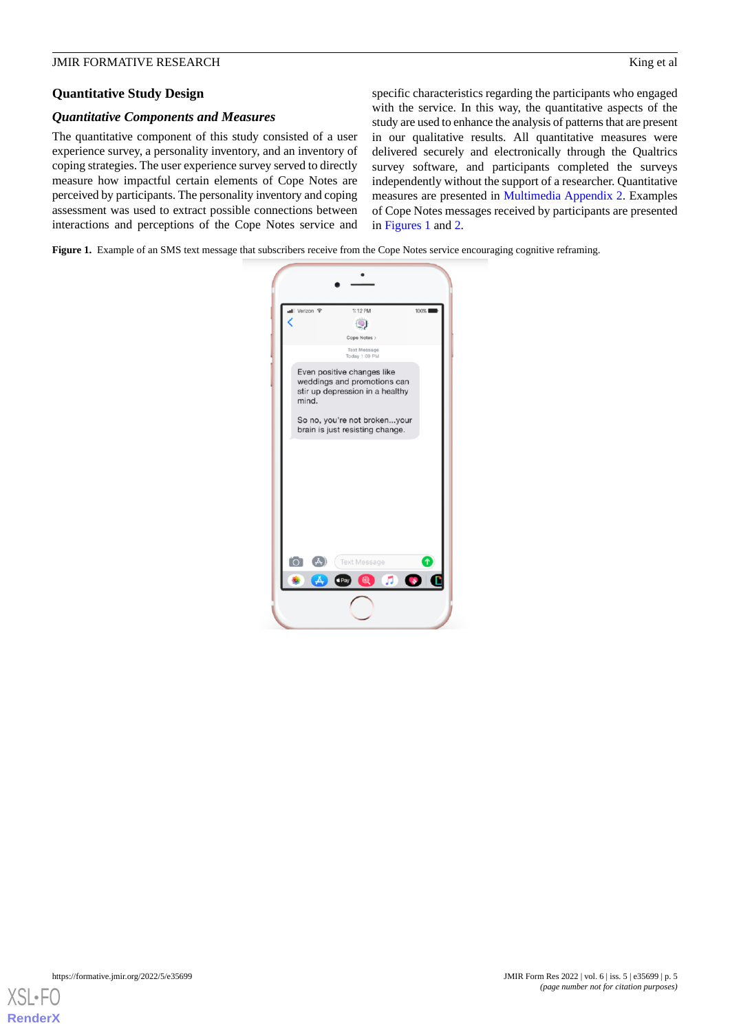# **Quantitative Study Design**

# *Quantitative Components and Measures*

The quantitative component of this study consisted of a user experience survey, a personality inventory, and an inventory of coping strategies. The user experience survey served to directly measure how impactful certain elements of Cope Notes are perceived by participants. The personality inventory and coping assessment was used to extract possible connections between interactions and perceptions of the Cope Notes service and

specific characteristics regarding the participants who engaged with the service. In this way, the quantitative aspects of the study are used to enhance the analysis of patterns that are present in our qualitative results. All quantitative measures were delivered securely and electronically through the Qualtrics survey software, and participants completed the surveys independently without the support of a researcher. Quantitative measures are presented in [Multimedia Appendix 2.](#page-14-20) Examples of Cope Notes messages received by participants are presented in [Figures 1](#page-4-0) and [2.](#page-5-0)

<span id="page-4-0"></span>**Figure 1.** Example of an SMS text message that subscribers receive from the Cope Notes service encouraging cognitive reframing.



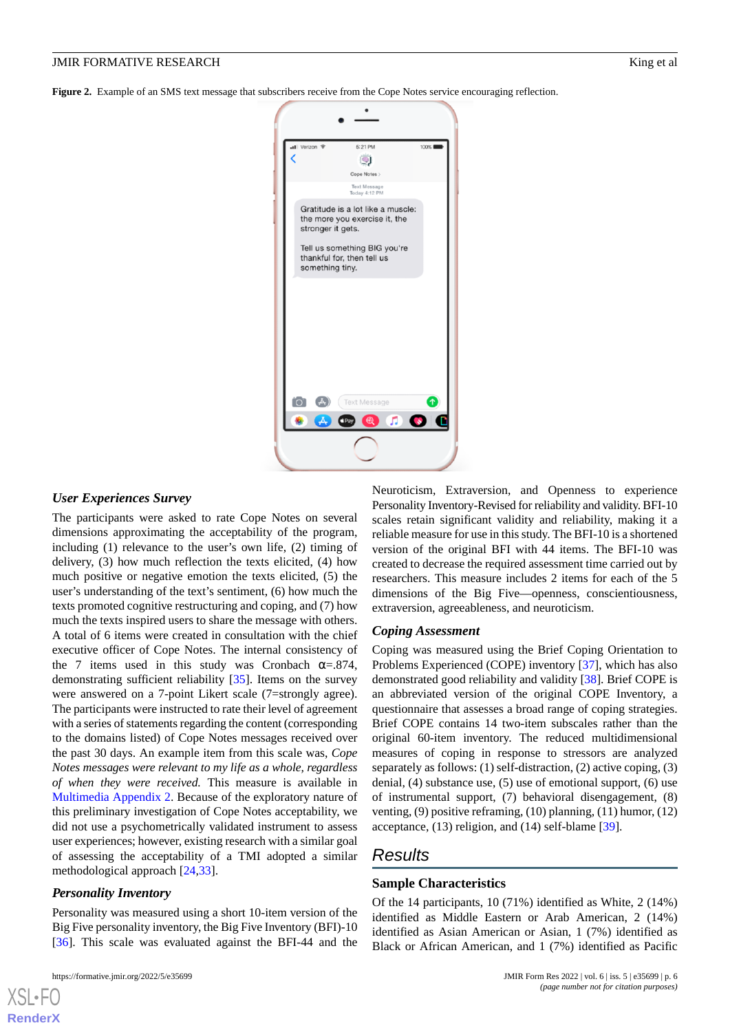<span id="page-5-0"></span>**Figure 2.** Example of an SMS text message that subscribers receive from the Cope Notes service encouraging reflection.



#### *User Experiences Survey*

The participants were asked to rate Cope Notes on several dimensions approximating the acceptability of the program, including (1) relevance to the user's own life, (2) timing of delivery, (3) how much reflection the texts elicited, (4) how much positive or negative emotion the texts elicited, (5) the user's understanding of the text's sentiment, (6) how much the texts promoted cognitive restructuring and coping, and (7) how much the texts inspired users to share the message with others. A total of 6 items were created in consultation with the chief executive officer of Cope Notes. The internal consistency of the 7 items used in this study was Cronbach  $\alpha = .874$ , demonstrating sufficient reliability [\[35](#page-15-14)]. Items on the survey were answered on a 7-point Likert scale (7=strongly agree). The participants were instructed to rate their level of agreement with a series of statements regarding the content (corresponding to the domains listed) of Cope Notes messages received over the past 30 days. An example item from this scale was, *Cope Notes messages were relevant to my life as a whole, regardless of when they were received.* This measure is available in [Multimedia Appendix 2](#page-14-20). Because of the exploratory nature of this preliminary investigation of Cope Notes acceptability, we did not use a psychometrically validated instrument to assess user experiences; however, existing research with a similar goal of assessing the acceptability of a TMI adopted a similar methodological approach [[24,](#page-15-3)[33](#page-15-12)].

#### *Personality Inventory*

Personality was measured using a short 10-item version of the Big Five personality inventory, the Big Five Inventory (BFI)-10 [[36\]](#page-15-15). This scale was evaluated against the BFI-44 and the

[XSL](http://www.w3.org/Style/XSL)•FO **[RenderX](http://www.renderx.com/)**

Neuroticism, Extraversion, and Openness to experience Personality Inventory-Revised for reliability and validity. BFI-10 scales retain significant validity and reliability, making it a reliable measure for use in this study. The BFI-10 is a shortened version of the original BFI with 44 items. The BFI-10 was created to decrease the required assessment time carried out by researchers. This measure includes 2 items for each of the 5 dimensions of the Big Five—openness, conscientiousness, extraversion, agreeableness, and neuroticism.

#### *Coping Assessment*

Coping was measured using the Brief Coping Orientation to Problems Experienced (COPE) inventory [\[37](#page-15-16)], which has also demonstrated good reliability and validity [[38\]](#page-15-17). Brief COPE is an abbreviated version of the original COPE Inventory, a questionnaire that assesses a broad range of coping strategies. Brief COPE contains 14 two-item subscales rather than the original 60-item inventory. The reduced multidimensional measures of coping in response to stressors are analyzed separately as follows: (1) self-distraction, (2) active coping, (3) denial, (4) substance use, (5) use of emotional support, (6) use of instrumental support, (7) behavioral disengagement, (8) venting, (9) positive reframing, (10) planning, (11) humor, (12) acceptance, (13) religion, and (14) self-blame [[39\]](#page-15-18).

# *Results*

# **Sample Characteristics**

Of the 14 participants, 10 (71%) identified as White, 2 (14%) identified as Middle Eastern or Arab American, 2 (14%) identified as Asian American or Asian, 1 (7%) identified as Black or African American, and 1 (7%) identified as Pacific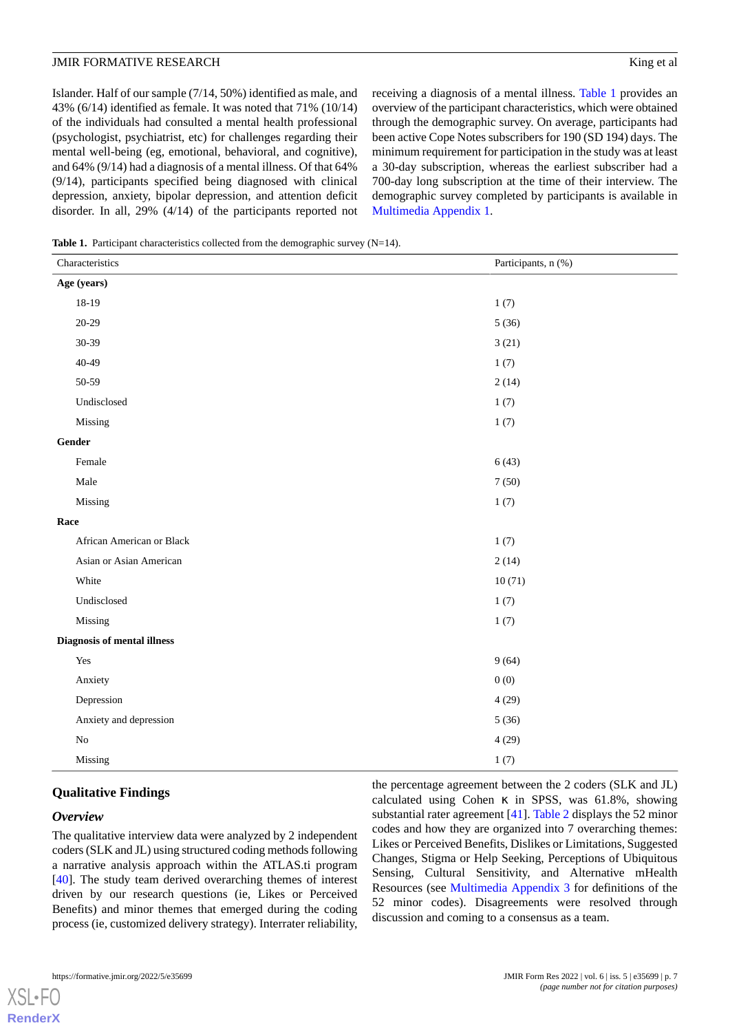Islander. Half of our sample (7/14, 50%) identified as male, and 43% (6/14) identified as female. It was noted that 71% (10/14) of the individuals had consulted a mental health professional (psychologist, psychiatrist, etc) for challenges regarding their mental well-being (eg, emotional, behavioral, and cognitive), and 64% (9/14) had a diagnosis of a mental illness. Of that 64% (9/14), participants specified being diagnosed with clinical depression, anxiety, bipolar depression, and attention deficit disorder. In all, 29% (4/14) of the participants reported not receiving a diagnosis of a mental illness. [Table 1](#page-6-0) provides an overview of the participant characteristics, which were obtained through the demographic survey. On average, participants had been active Cope Notes subscribers for 190 (SD 194) days. The minimum requirement for participation in the study was at least a 30-day subscription, whereas the earliest subscriber had a 700-day long subscription at the time of their interview. The demographic survey completed by participants is available in [Multimedia Appendix 1.](#page-13-0)

<span id="page-6-0"></span>**Table 1.** Participant characteristics collected from the demographic survey  $(N=14)$ .

| Characteristics             | Participants, n (%) |  |
|-----------------------------|---------------------|--|
| Age (years)                 |                     |  |
| 18-19                       | 1(7)                |  |
| $20 - 29$                   | 5(36)               |  |
| 30-39                       | 3(21)               |  |
| 40-49                       | 1(7)                |  |
| 50-59                       | 2(14)               |  |
| Undisclosed                 | 1(7)                |  |
| Missing                     | 1(7)                |  |
| Gender                      |                     |  |
| Female                      | 6(43)               |  |
| Male                        | 7(50)               |  |
| Missing                     | 1(7)                |  |
| Race                        |                     |  |
| African American or Black   | 1(7)                |  |
| Asian or Asian American     | 2(14)               |  |
| White                       | 10(71)              |  |
| Undisclosed                 | 1(7)                |  |
| Missing                     | 1(7)                |  |
| Diagnosis of mental illness |                     |  |
| Yes                         | 9(64)               |  |
| Anxiety                     | 0(0)                |  |
| Depression                  | 4(29)               |  |
| Anxiety and depression      | 5(36)               |  |
| $\rm No$                    | 4(29)               |  |
| Missing                     | 1(7)                |  |

# **Qualitative Findings**

# *Overview*

[XSL](http://www.w3.org/Style/XSL)•FO **[RenderX](http://www.renderx.com/)**

The qualitative interview data were analyzed by 2 independent coders (SLK and JL) using structured coding methods following a narrative analysis approach within the ATLAS.ti program [[40\]](#page-15-19). The study team derived overarching themes of interest driven by our research questions (ie, Likes or Perceived Benefits) and minor themes that emerged during the coding process (ie, customized delivery strategy). Interrater reliability,

the percentage agreement between the 2 coders (SLK and JL) calculated using Cohen  $\kappa$  in SPSS, was 61.8%, showing substantial rater agreement [[41\]](#page-15-20). [Table 2](#page-7-0) displays the 52 minor codes and how they are organized into 7 overarching themes: Likes or Perceived Benefits, Dislikes or Limitations, Suggested Changes, Stigma or Help Seeking, Perceptions of Ubiquitous Sensing, Cultural Sensitivity, and Alternative mHealth Resources (see [Multimedia Appendix 3](#page-14-21) for definitions of the 52 minor codes). Disagreements were resolved through discussion and coming to a consensus as a team.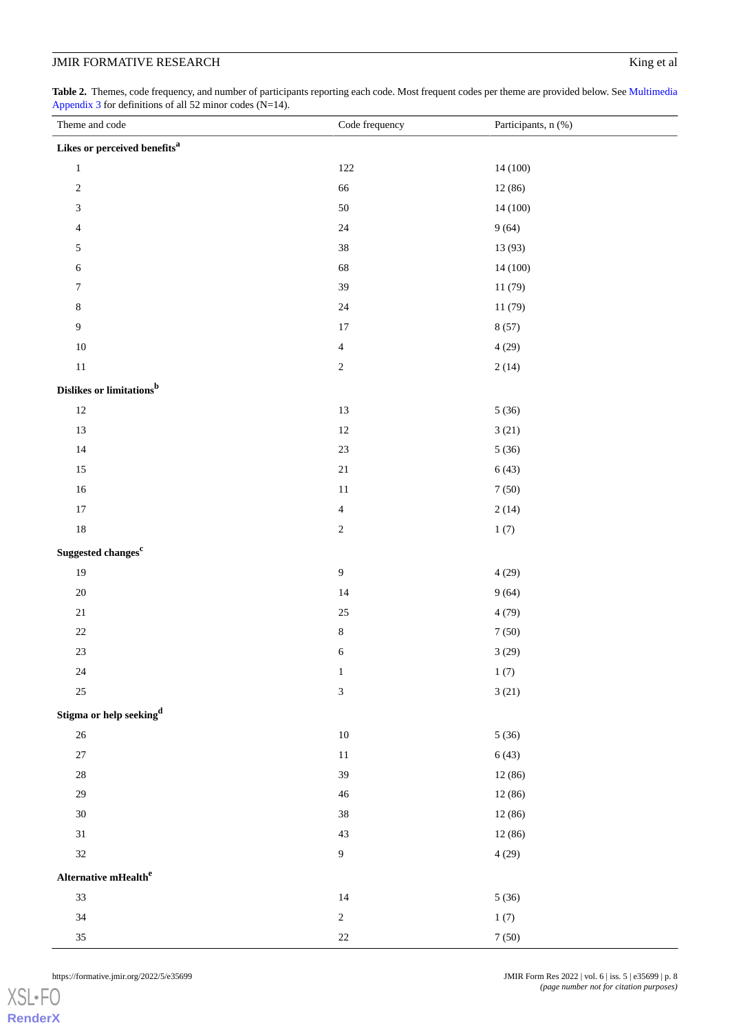<span id="page-7-0"></span>**Table 2.** Themes, code frequency, and number of participants reporting each code. Most frequent codes per theme are provided below. See [Multimedia](#page-14-21) [Appendix 3](#page-14-21) for definitions of all 52 minor codes (N=14).

| Theme and code                       | Code frequency              | Participants, n (%) |
|--------------------------------------|-----------------------------|---------------------|
| Likes or perceived benefits $\!a$    |                             |                     |
| $\,1\,$                              | 122                         | 14 (100)            |
| $\sqrt{2}$                           | 66                          | 12 (86)             |
| $\ensuremath{\mathfrak{Z}}$          | 50                          | 14 (100)            |
| $\overline{4}$                       | 24                          | 9(64)               |
| $\sqrt{5}$                           | $38\,$                      | 13 (93)             |
| 6                                    | 68                          | 14 (100)            |
| $\boldsymbol{7}$                     | 39                          | 11(79)              |
| $\,$ 8 $\,$                          | $24\,$                      | 11(79)              |
| $\boldsymbol{9}$                     | $17\,$                      | 8(57)               |
| $10\,$                               | $\overline{4}$              | 4(29)               |
| $11\,$                               | $\sqrt{2}$                  | 2(14)               |
| Dislikes or limitations <sup>b</sup> |                             |                     |
| $12\,$                               | 13                          | 5(36)               |
| 13                                   | $12\,$                      | 3(21)               |
| $14\,$                               | $23\,$                      | 5(36)               |
| $15\,$                               | $21\,$                      | 6(43)               |
| $16\,$                               | $11\,$                      | 7(50)               |
| $17\,$                               | $\overline{4}$              | 2(14)               |
| $18\,$                               | $\sqrt{2}$                  | 1(7)                |
| Suggested changes <sup>c</sup>       |                             |                     |
| 19                                   | $\boldsymbol{9}$            | 4(29)               |
| $20\,$                               | 14                          | 9(64)               |
| $21\,$                               | $25\,$                      | 4(79)               |
| $22\,$                               | $\,8\,$                     | $7\left(50\right)$  |
| $23\,$                               | $\sqrt{6}$                  | 3(29)               |
| $24\,$                               | $\,1\,$                     | 1(7)                |
| $25\,$                               | $\ensuremath{\mathfrak{Z}}$ | 3(21)               |
| Stigma or help seeking $^\mathrm{d}$ |                             |                     |
| $26\,$                               | $10\,$                      | 5(36)               |
| $27\,$                               | $11\,$                      | 6(43)               |
| $28\,$                               | 39                          | 12(86)              |
| $29\,$                               | $46\,$                      | 12 (86)             |
| $30\,$                               | $38\,$                      | 12 (86)             |
| $31\,$                               | $43\,$                      | 12 (86)             |
| $32\,$                               | $\overline{9}$              | 4(29)               |
| Alternative mHealth $^e$             |                             |                     |
| $33\,$                               | 14                          | 5(36)               |
| $34\,$                               | $\sqrt{2}$                  | 1(7)                |
| $35\,$                               | $22\,$                      | $7\left(50\right)$  |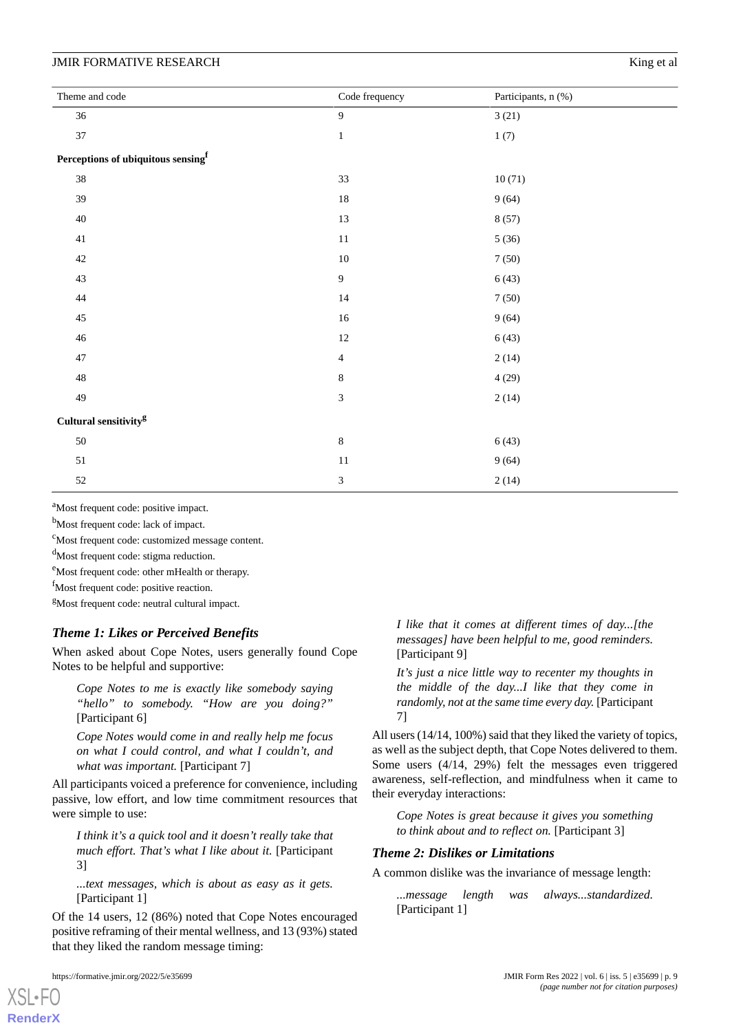| Theme and code                                 | Code frequency | Participants, n (%) |
|------------------------------------------------|----------------|---------------------|
| 36                                             | 9              | 3(21)               |
| 37                                             | $\,1\,$        | 1(7)                |
| Perceptions of ubiquitous sensing <sup>f</sup> |                |                     |
| 38                                             | 33             | 10(71)              |
| 39                                             | $18\,$         | 9(64)               |
| 40                                             | 13             | 8(57)               |
| $41\,$                                         | $11\,$         | 5(36)               |
| $42\,$                                         | $10\,$         | $7\left(50\right)$  |
| 43                                             | $\mathbf{9}$   | 6(43)               |
| $44\,$                                         | $14\,$         | 7(50)               |
| 45                                             | $16\,$         | 9(64)               |
| $46\,$                                         | $12\,$         | 6(43)               |
| $47\,$                                         | $\overline{4}$ | 2(14)               |
| 48                                             | $\,$ 8 $\,$    | 4(29)               |
| 49                                             | $\overline{3}$ | 2(14)               |
| Cultural sensitivity $\!{\rm g}$               |                |                     |
| 50                                             | $\,8\,$        | 6(43)               |
| $51\,$                                         | 11             | 9(64)               |
| 52                                             | $\sqrt{3}$     | 2(14)               |

<sup>a</sup>Most frequent code: positive impact.

b<sub>Most frequent code: lack of impact.</sub>

<sup>c</sup>Most frequent code: customized message content.

<sup>d</sup>Most frequent code: stigma reduction.

<sup>e</sup>Most frequent code: other mHealth or therapy.

<sup>f</sup>Most frequent code: positive reaction.

<sup>g</sup>Most frequent code: neutral cultural impact.

# *Theme 1: Likes or Perceived Benefits*

When asked about Cope Notes, users generally found Cope Notes to be helpful and supportive:

*Cope Notes to me is exactly like somebody saying "hello" to somebody. "How are you doing?"* [Participant 6]

*Cope Notes would come in and really help me focus on what I could control, and what I couldn't, and what was important.* [Participant 7]

All participants voiced a preference for convenience, including passive, low effort, and low time commitment resources that were simple to use:

*I think it's a quick tool and it doesn't really take that much effort. That's what I like about it.* [Participant 3]

*...text messages, which is about as easy as it gets.* [Participant 1]

Of the 14 users, 12 (86%) noted that Cope Notes encouraged positive reframing of their mental wellness, and 13 (93%) stated that they liked the random message timing:

[XSL](http://www.w3.org/Style/XSL)•FO **[RenderX](http://www.renderx.com/)**

*I like that it comes at different times of day...[the messages] have been helpful to me, good reminders.* [Participant 9]

*It's just a nice little way to recenter my thoughts in the middle of the day...I like that they come in randomly, not at the same time every day.* [Participant 7]

All users (14/14, 100%) said that they liked the variety of topics, as well as the subject depth, that Cope Notes delivered to them. Some users (4/14, 29%) felt the messages even triggered awareness, self-reflection, and mindfulness when it came to their everyday interactions:

*Cope Notes is great because it gives you something to think about and to reflect on.* [Participant 3]

# *Theme 2: Dislikes or Limitations*

A common dislike was the invariance of message length:

*...message length was always...standardized.* [Participant 1]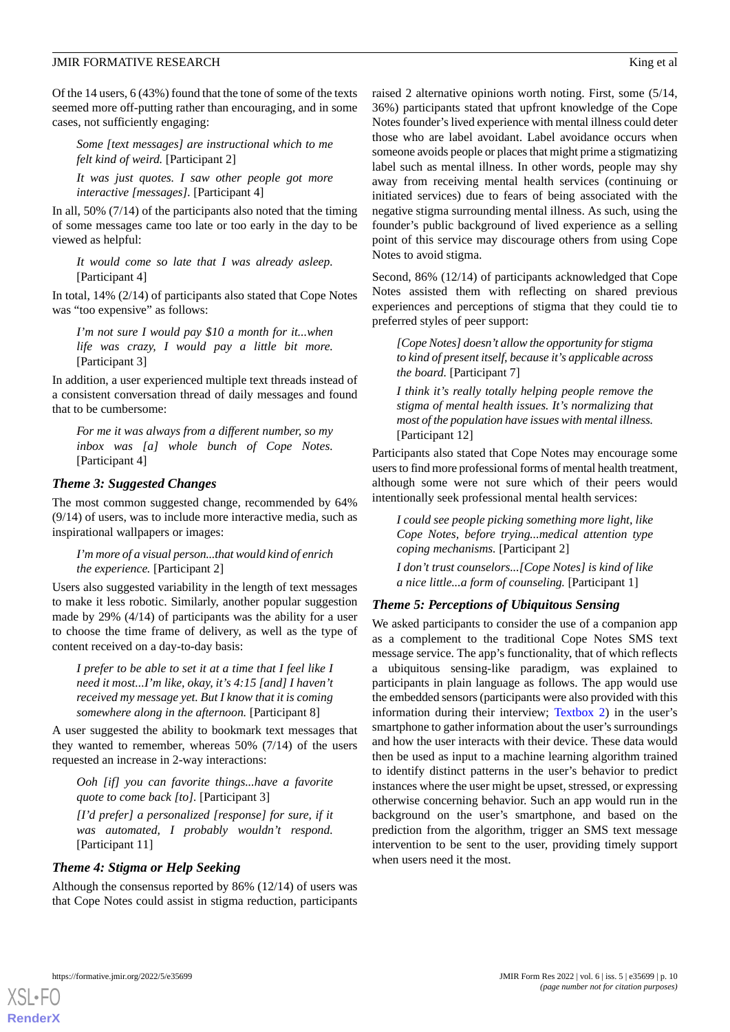#### JMIR FORMATIVE RESEARCH **King et al.** Solution of the set al. All the set al. All the set al. All the set al. All the set al. All the set al. All the set al. All the set al. All the set al. All the set al. All the set al.

Of the 14 users, 6 (43%) found that the tone of some of the texts seemed more off-putting rather than encouraging, and in some cases, not sufficiently engaging:

*Some [text messages] are instructional which to me felt kind of weird.* [Participant 2]

*It was just quotes. I saw other people got more interactive [messages].* [Participant 4]

In all, 50% (7/14) of the participants also noted that the timing of some messages came too late or too early in the day to be viewed as helpful:

*It would come so late that I was already asleep.* [Participant 4]

In total, 14% (2/14) of participants also stated that Cope Notes was "too expensive" as follows:

*I'm not sure I would pay \$10 a month for it...when life was crazy, I would pay a little bit more.* [Participant 3]

In addition, a user experienced multiple text threads instead of a consistent conversation thread of daily messages and found that to be cumbersome:

*For me it was always from a different number, so my inbox was [a] whole bunch of Cope Notes.* [Participant 4]

# *Theme 3: Suggested Changes*

The most common suggested change, recommended by 64% (9/14) of users, was to include more interactive media, such as inspirational wallpapers or images:

*I'm more of a visual person...that would kind of enrich the experience.* [Participant 2]

Users also suggested variability in the length of text messages to make it less robotic. Similarly, another popular suggestion made by 29% (4/14) of participants was the ability for a user to choose the time frame of delivery, as well as the type of content received on a day-to-day basis:

*I prefer to be able to set it at a time that I feel like I need it most...I'm like, okay, it's 4:15 [and] I haven't received my message yet. But I know that it is coming somewhere along in the afternoon.* [Participant 8]

A user suggested the ability to bookmark text messages that they wanted to remember, whereas 50% (7/14) of the users requested an increase in 2-way interactions:

*Ooh [if] you can favorite things...have a favorite quote to come back [to].* [Participant 3]

*[I'd prefer] a personalized [response] for sure, if it was automated, I probably wouldn't respond.* [Participant 11]

# *Theme 4: Stigma or Help Seeking*

Although the consensus reported by 86% (12/14) of users was that Cope Notes could assist in stigma reduction, participants raised 2 alternative opinions worth noting. First, some (5/14, 36%) participants stated that upfront knowledge of the Cope Notes founder's lived experience with mental illness could deter those who are label avoidant. Label avoidance occurs when someone avoids people or places that might prime a stigmatizing label such as mental illness. In other words, people may shy away from receiving mental health services (continuing or initiated services) due to fears of being associated with the negative stigma surrounding mental illness. As such, using the founder's public background of lived experience as a selling point of this service may discourage others from using Cope Notes to avoid stigma.

Second, 86% (12/14) of participants acknowledged that Cope Notes assisted them with reflecting on shared previous experiences and perceptions of stigma that they could tie to preferred styles of peer support:

*[Cope Notes] doesn't allow the opportunity for stigma to kind of present itself, because it's applicable across the board.* [Participant 7]

*I think it's really totally helping people remove the stigma of mental health issues. It's normalizing that most of the population have issues with mental illness.* [Participant 12]

Participants also stated that Cope Notes may encourage some users to find more professional forms of mental health treatment, although some were not sure which of their peers would intentionally seek professional mental health services:

*I could see people picking something more light, like Cope Notes, before trying...medical attention type coping mechanisms.* [Participant 2]

*I don't trust counselors...[Cope Notes] is kind of like a nice little...a form of counseling.* [Participant 1]

# *Theme 5: Perceptions of Ubiquitous Sensing*

We asked participants to consider the use of a companion app as a complement to the traditional Cope Notes SMS text message service. The app's functionality, that of which reflects a ubiquitous sensing-like paradigm, was explained to participants in plain language as follows. The app would use the embedded sensors (participants were also provided with this information during their interview; [Textbox 2\)](#page-10-0) in the user's smartphone to gather information about the user's surroundings and how the user interacts with their device. These data would then be used as input to a machine learning algorithm trained to identify distinct patterns in the user's behavior to predict instances where the user might be upset, stressed, or expressing otherwise concerning behavior. Such an app would run in the background on the user's smartphone, and based on the prediction from the algorithm, trigger an SMS text message intervention to be sent to the user, providing timely support when users need it the most.

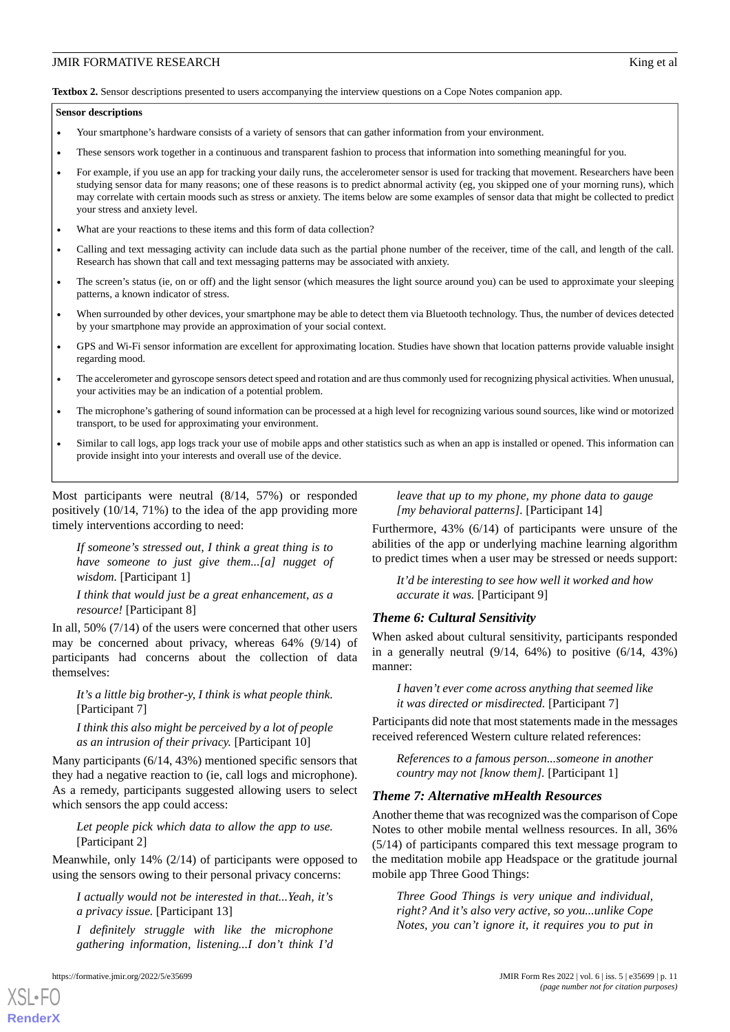<span id="page-10-0"></span>**Textbox 2.** Sensor descriptions presented to users accompanying the interview questions on a Cope Notes companion app.

#### **Sensor descriptions**

- Your smartphone's hardware consists of a variety of sensors that can gather information from your environment.
- These sensors work together in a continuous and transparent fashion to process that information into something meaningful for you.
- For example, if you use an app for tracking your daily runs, the accelerometer sensor is used for tracking that movement. Researchers have been studying sensor data for many reasons; one of these reasons is to predict abnormal activity (eg, you skipped one of your morning runs), which may correlate with certain moods such as stress or anxiety. The items below are some examples of sensor data that might be collected to predict your stress and anxiety level.
- What are your reactions to these items and this form of data collection?
- Calling and text messaging activity can include data such as the partial phone number of the receiver, time of the call, and length of the call. Research has shown that call and text messaging patterns may be associated with anxiety.
- The screen's status (ie, on or off) and the light sensor (which measures the light source around you) can be used to approximate your sleeping patterns, a known indicator of stress.
- When surrounded by other devices, your smartphone may be able to detect them via Bluetooth technology. Thus, the number of devices detected by your smartphone may provide an approximation of your social context.
- GPS and Wi-Fi sensor information are excellent for approximating location. Studies have shown that location patterns provide valuable insight regarding mood.
- The accelerometer and gyroscope sensors detect speed and rotation and are thus commonly used for recognizing physical activities. When unusual, your activities may be an indication of a potential problem.
- The microphone's gathering of sound information can be processed at a high level for recognizing various sound sources, like wind or motorized transport, to be used for approximating your environment.
- Similar to call logs, app logs track your use of mobile apps and other statistics such as when an app is installed or opened. This information can provide insight into your interests and overall use of the device.

Most participants were neutral (8/14, 57%) or responded positively (10/14, 71%) to the idea of the app providing more timely interventions according to need:

*If someone's stressed out, I think a great thing is to have someone to just give them...[a] nugget of wisdom.* [Participant 1]

*I think that would just be a great enhancement, as a resource!* [Participant 8]

In all, 50% (7/14) of the users were concerned that other users may be concerned about privacy, whereas 64% (9/14) of participants had concerns about the collection of data themselves:

*It's a little big brother-y, I think is what people think.* [Participant 7]

*I think this also might be perceived by a lot of people as an intrusion of their privacy.* [Participant 10]

Many participants (6/14, 43%) mentioned specific sensors that they had a negative reaction to (ie, call logs and microphone). As a remedy, participants suggested allowing users to select which sensors the app could access:

*Let people pick which data to allow the app to use.* [Participant 2]

Meanwhile, only 14% (2/14) of participants were opposed to using the sensors owing to their personal privacy concerns:

*I actually would not be interested in that...Yeah, it's a privacy issue.* [Participant 13]

*I definitely struggle with like the microphone gathering information, listening...I don't think I'd*

[XSL](http://www.w3.org/Style/XSL)•FO **[RenderX](http://www.renderx.com/)**

*leave that up to my phone, my phone data to gauge [my behavioral patterns].* [Participant 14]

Furthermore, 43% (6/14) of participants were unsure of the abilities of the app or underlying machine learning algorithm to predict times when a user may be stressed or needs support:

*It'd be interesting to see how well it worked and how accurate it was.* [Participant 9]

#### *Theme 6: Cultural Sensitivity*

When asked about cultural sensitivity, participants responded in a generally neutral  $(9/14, 64%)$  to positive  $(6/14, 43%)$ manner:

*I haven't ever come across anything that seemed like it was directed or misdirected.* [Participant 7]

Participants did note that most statements made in the messages received referenced Western culture related references:

*References to a famous person...someone in another country may not [know them].* [Participant 1]

#### *Theme 7: Alternative mHealth Resources*

Another theme that was recognized was the comparison of Cope Notes to other mobile mental wellness resources. In all, 36% (5/14) of participants compared this text message program to the meditation mobile app Headspace or the gratitude journal mobile app Three Good Things:

*Three Good Things is very unique and individual, right? And it's also very active, so you...unlike Cope Notes, you can't ignore it, it requires you to put in*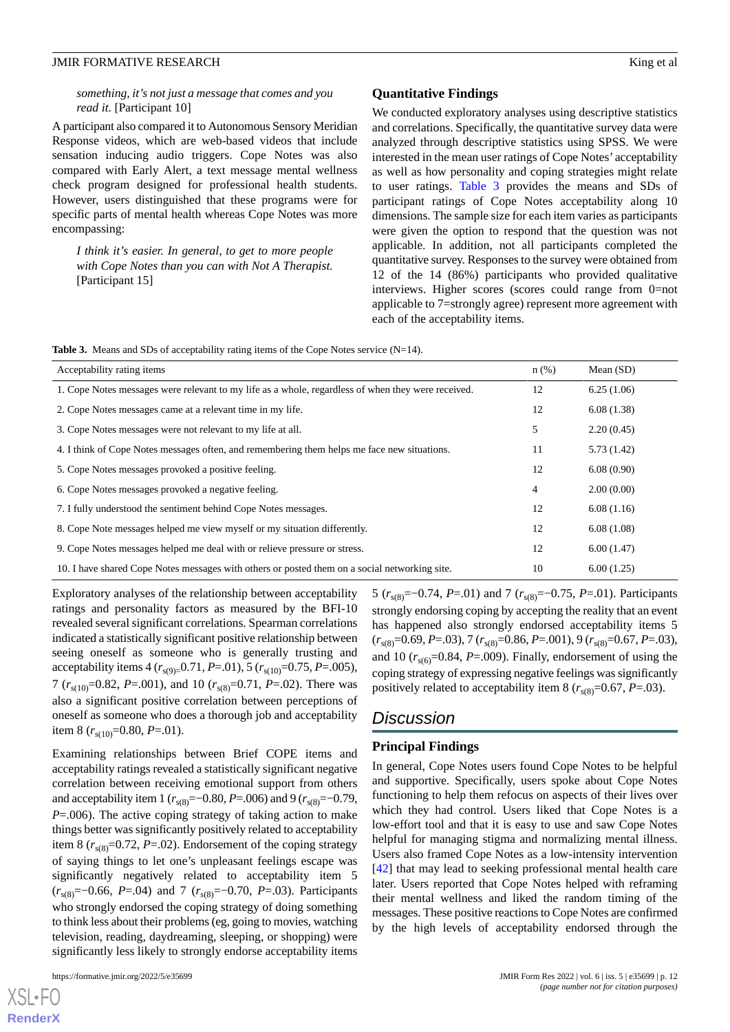# *something, it's not just a message that comes and you read it.* [Participant 10]

A participant also compared it to Autonomous Sensory Meridian Response videos, which are web-based videos that include sensation inducing audio triggers. Cope Notes was also compared with Early Alert, a text message mental wellness check program designed for professional health students. However, users distinguished that these programs were for specific parts of mental health whereas Cope Notes was more encompassing:

*I think it's easier. In general, to get to more people with Cope Notes than you can with Not A Therapist.* [Participant 15]

# **Quantitative Findings**

We conducted exploratory analyses using descriptive statistics and correlations. Specifically, the quantitative survey data were analyzed through descriptive statistics using SPSS. We were interested in the mean user ratings of Cope Notes' acceptability as well as how personality and coping strategies might relate to user ratings. [Table 3](#page-11-0) provides the means and SDs of participant ratings of Cope Notes acceptability along 10 dimensions. The sample size for each item varies as participants were given the option to respond that the question was not applicable. In addition, not all participants completed the quantitative survey. Responses to the survey were obtained from 12 of the 14 (86%) participants who provided qualitative interviews. Higher scores (scores could range from 0=not applicable to 7=strongly agree) represent more agreement with each of the acceptability items.

<span id="page-11-0"></span>

|  |  |  |  | <b>Table 3.</b> Means and SDs of acceptability rating items of the Cope Notes service $(N=14)$ . |  |
|--|--|--|--|--------------------------------------------------------------------------------------------------|--|
|--|--|--|--|--------------------------------------------------------------------------------------------------|--|

| Acceptability rating items                                                                         | $n$ (%)        | Mean $(SD)$ |
|----------------------------------------------------------------------------------------------------|----------------|-------------|
| 1. Cope Notes messages were relevant to my life as a whole, regardless of when they were received. | 12             | 6.25(1.06)  |
| 2. Cope Notes messages came at a relevant time in my life.                                         | 12             | 6.08(1.38)  |
| 3. Cope Notes messages were not relevant to my life at all.                                        | 5              | 2.20(0.45)  |
| 4. I think of Cope Notes messages often, and remembering them helps me face new situations.        | 11             | 5.73(1.42)  |
| 5. Cope Notes messages provoked a positive feeling.                                                | 12             | 6.08(0.90)  |
| 6. Cope Notes messages provoked a negative feeling.                                                | $\overline{4}$ | 2.00(0.00)  |
| 7. I fully understood the sentiment behind Cope Notes messages.                                    | 12             | 6.08(1.16)  |
| 8. Cope Note messages helped me view myself or my situation differently.                           | 12             | 6.08(1.08)  |
| 9. Cope Notes messages helped me deal with or relieve pressure or stress.                          | 12             | 6.00(1.47)  |
| 10. I have shared Cope Notes messages with others or posted them on a social networking site.      | 10             | 6.00(1.25)  |

Exploratory analyses of the relationship between acceptability ratings and personality factors as measured by the BFI-10 revealed several significant correlations. Spearman correlations indicated a statistically significant positive relationship between seeing oneself as someone who is generally trusting and acceptability items 4 ( $r_{s(9)=}$ 0.71, *P*=.01), 5 ( $r_{s(10)}$ =0.75, *P*=.005), 7 ( $r_{s(10)}$ =0.82, *P*=.001), and 10 ( $r_{s(8)}$ =0.71, *P*=.02). There was also a significant positive correlation between perceptions of oneself as someone who does a thorough job and acceptability item 8  $(r<sub>s(10)</sub>=0.80, P=.01)$ .

Examining relationships between Brief COPE items and acceptability ratings revealed a statistically significant negative correlation between receiving emotional support from others and acceptability item 1 ( $r_{s(8)}$ =–0.80, *P*=.006) and 9 ( $r_{s(8)}$ =–0.79, *P*=.006). The active coping strategy of taking action to make things better was significantly positively related to acceptability item 8 ( $r_{s(8)}$ =0.72, *P*=.02). Endorsement of the coping strategy of saying things to let one's unpleasant feelings escape was significantly negatively related to acceptability item 5 (*r*s(8)=−0.66, *P*=.04) and 7 (*r*s(8)=−0.70, *P*=.03). Participants who strongly endorsed the coping strategy of doing something to think less about their problems (eg, going to movies, watching television, reading, daydreaming, sleeping, or shopping) were significantly less likely to strongly endorse acceptability items

[XSL](http://www.w3.org/Style/XSL)•FO **[RenderX](http://www.renderx.com/)**

5 (*r*s(8)=−0.74, *P*=.01) and 7 (*r*s(8)=−0.75, *P*=.01). Participants strongly endorsing coping by accepting the reality that an event has happened also strongly endorsed acceptability items 5 (*r*s(8)=0.69, *P*=.03), 7 (*r*s(8)=0.86, *P*=.001), 9 (*r*s(8)=0.67, *P*=.03), and 10  $(r<sub>s(6)</sub>=0.84, P=.009)$ . Finally, endorsement of using the coping strategy of expressing negative feelings was significantly positively related to acceptability item 8 ( $r_{s(8)}$ =0.67, *P*=.03).

# *Discussion*

# **Principal Findings**

In general, Cope Notes users found Cope Notes to be helpful and supportive. Specifically, users spoke about Cope Notes functioning to help them refocus on aspects of their lives over which they had control. Users liked that Cope Notes is a low-effort tool and that it is easy to use and saw Cope Notes helpful for managing stigma and normalizing mental illness. Users also framed Cope Notes as a low-intensity intervention [[42\]](#page-15-21) that may lead to seeking professional mental health care later. Users reported that Cope Notes helped with reframing their mental wellness and liked the random timing of the messages. These positive reactions to Cope Notes are confirmed by the high levels of acceptability endorsed through the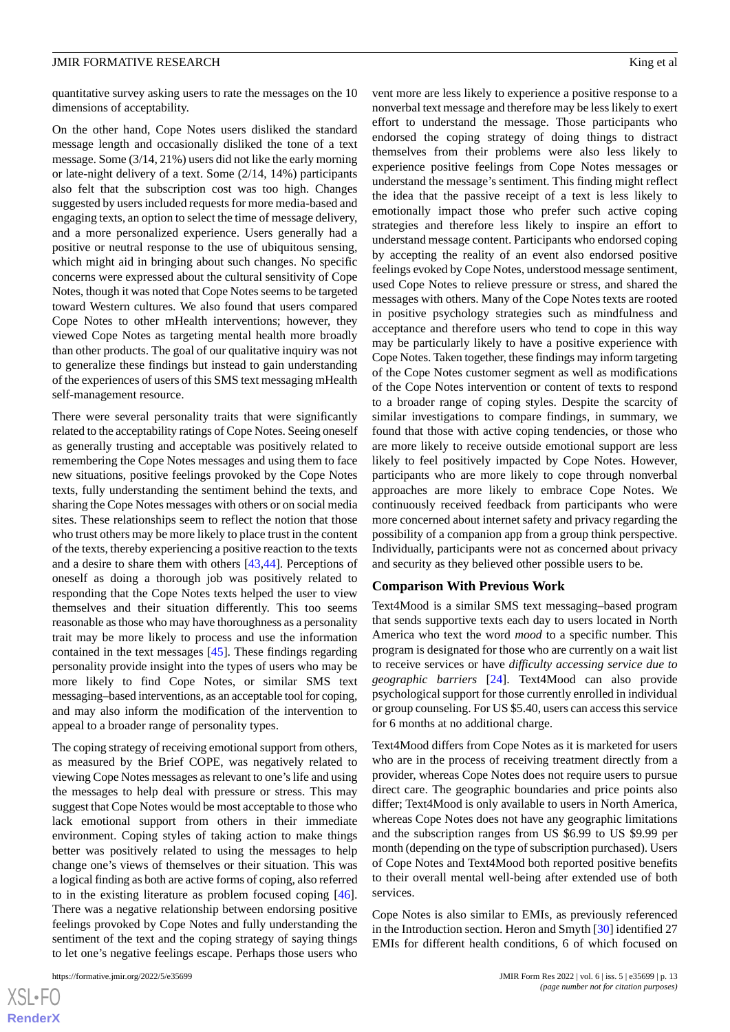quantitative survey asking users to rate the messages on the 10 dimensions of acceptability.

On the other hand, Cope Notes users disliked the standard message length and occasionally disliked the tone of a text message. Some (3/14, 21%) users did not like the early morning or late-night delivery of a text. Some (2/14, 14%) participants also felt that the subscription cost was too high. Changes suggested by users included requests for more media-based and engaging texts, an option to select the time of message delivery, and a more personalized experience. Users generally had a positive or neutral response to the use of ubiquitous sensing, which might aid in bringing about such changes. No specific concerns were expressed about the cultural sensitivity of Cope Notes, though it was noted that Cope Notes seems to be targeted toward Western cultures. We also found that users compared Cope Notes to other mHealth interventions; however, they viewed Cope Notes as targeting mental health more broadly than other products. The goal of our qualitative inquiry was not to generalize these findings but instead to gain understanding of the experiences of users of this SMS text messaging mHealth self-management resource.

There were several personality traits that were significantly related to the acceptability ratings of Cope Notes. Seeing oneself as generally trusting and acceptable was positively related to remembering the Cope Notes messages and using them to face new situations, positive feelings provoked by the Cope Notes texts, fully understanding the sentiment behind the texts, and sharing the Cope Notes messages with others or on social media sites. These relationships seem to reflect the notion that those who trust others may be more likely to place trust in the content of the texts, thereby experiencing a positive reaction to the texts and a desire to share them with others [[43,](#page-15-22)[44](#page-15-23)]. Perceptions of oneself as doing a thorough job was positively related to responding that the Cope Notes texts helped the user to view themselves and their situation differently. This too seems reasonable as those who may have thoroughness as a personality trait may be more likely to process and use the information contained in the text messages [\[45](#page-15-24)]. These findings regarding personality provide insight into the types of users who may be more likely to find Cope Notes, or similar SMS text messaging–based interventions, as an acceptable tool for coping, and may also inform the modification of the intervention to appeal to a broader range of personality types.

The coping strategy of receiving emotional support from others, as measured by the Brief COPE, was negatively related to viewing Cope Notes messages as relevant to one's life and using the messages to help deal with pressure or stress. This may suggest that Cope Notes would be most acceptable to those who lack emotional support from others in their immediate environment. Coping styles of taking action to make things better was positively related to using the messages to help change one's views of themselves or their situation. This was a logical finding as both are active forms of coping, also referred to in the existing literature as problem focused coping [[46\]](#page-15-25). There was a negative relationship between endorsing positive feelings provoked by Cope Notes and fully understanding the sentiment of the text and the coping strategy of saying things to let one's negative feelings escape. Perhaps those users who

[XSL](http://www.w3.org/Style/XSL)•FO **[RenderX](http://www.renderx.com/)** vent more are less likely to experience a positive response to a nonverbal text message and therefore may be less likely to exert effort to understand the message. Those participants who endorsed the coping strategy of doing things to distract themselves from their problems were also less likely to experience positive feelings from Cope Notes messages or understand the message's sentiment. This finding might reflect the idea that the passive receipt of a text is less likely to emotionally impact those who prefer such active coping strategies and therefore less likely to inspire an effort to understand message content. Participants who endorsed coping by accepting the reality of an event also endorsed positive feelings evoked by Cope Notes, understood message sentiment, used Cope Notes to relieve pressure or stress, and shared the messages with others. Many of the Cope Notes texts are rooted in positive psychology strategies such as mindfulness and acceptance and therefore users who tend to cope in this way may be particularly likely to have a positive experience with Cope Notes. Taken together, these findings may inform targeting of the Cope Notes customer segment as well as modifications of the Cope Notes intervention or content of texts to respond to a broader range of coping styles. Despite the scarcity of similar investigations to compare findings, in summary, we found that those with active coping tendencies, or those who are more likely to receive outside emotional support are less likely to feel positively impacted by Cope Notes. However, participants who are more likely to cope through nonverbal approaches are more likely to embrace Cope Notes. We continuously received feedback from participants who were more concerned about internet safety and privacy regarding the possibility of a companion app from a group think perspective. Individually, participants were not as concerned about privacy and security as they believed other possible users to be.

#### **Comparison With Previous Work**

Text4Mood is a similar SMS text messaging–based program that sends supportive texts each day to users located in North America who text the word *mood* to a specific number. This program is designated for those who are currently on a wait list to receive services or have *difficulty accessing service due to geographic barriers* [[24\]](#page-15-3). Text4Mood can also provide psychological support for those currently enrolled in individual or group counseling. For US \$5.40, users can access this service for 6 months at no additional charge.

Text4Mood differs from Cope Notes as it is marketed for users who are in the process of receiving treatment directly from a provider, whereas Cope Notes does not require users to pursue direct care. The geographic boundaries and price points also differ; Text4Mood is only available to users in North America, whereas Cope Notes does not have any geographic limitations and the subscription ranges from US \$6.99 to US \$9.99 per month (depending on the type of subscription purchased). Users of Cope Notes and Text4Mood both reported positive benefits to their overall mental well-being after extended use of both services.

Cope Notes is also similar to EMIs, as previously referenced in the Introduction section. Heron and Smyth [\[30](#page-15-9)] identified 27 EMIs for different health conditions, 6 of which focused on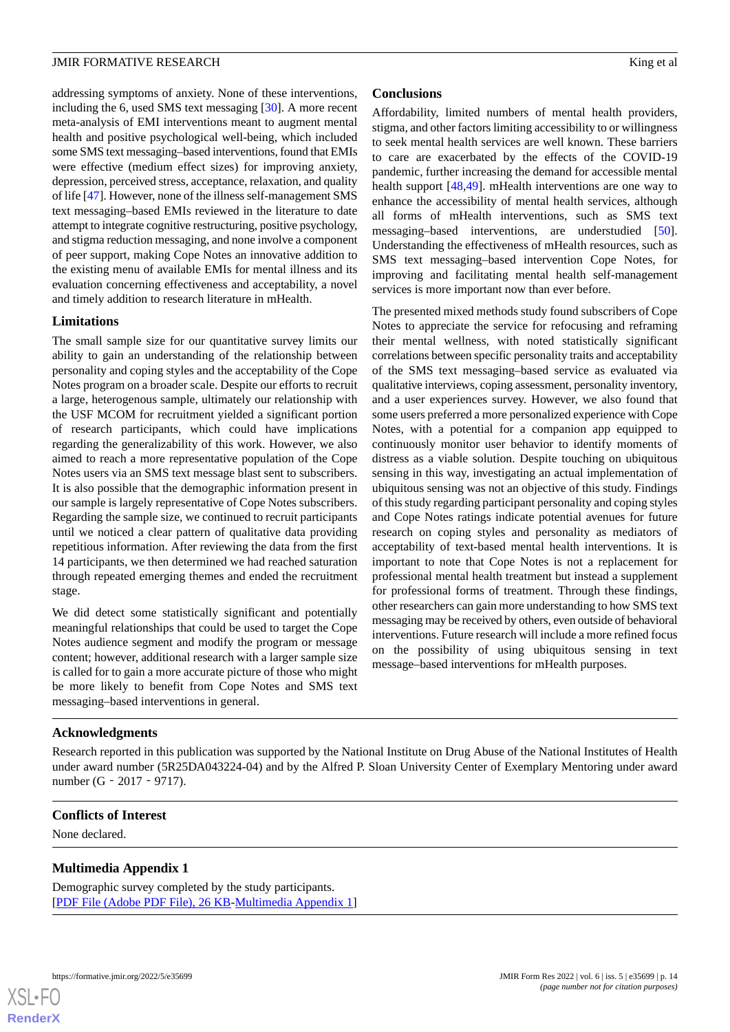addressing symptoms of anxiety. None of these interventions, including the 6, used SMS text messaging [\[30](#page-15-9)]. A more recent meta-analysis of EMI interventions meant to augment mental health and positive psychological well-being, which included some SMS text messaging–based interventions, found that EMIs were effective (medium effect sizes) for improving anxiety, depression, perceived stress, acceptance, relaxation, and quality of life [\[47](#page-16-0)]. However, none of the illness self-management SMS text messaging–based EMIs reviewed in the literature to date attempt to integrate cognitive restructuring, positive psychology, and stigma reduction messaging, and none involve a component of peer support, making Cope Notes an innovative addition to the existing menu of available EMIs for mental illness and its evaluation concerning effectiveness and acceptability, a novel and timely addition to research literature in mHealth.

# **Limitations**

The small sample size for our quantitative survey limits our ability to gain an understanding of the relationship between personality and coping styles and the acceptability of the Cope Notes program on a broader scale. Despite our efforts to recruit a large, heterogenous sample, ultimately our relationship with the USF MCOM for recruitment yielded a significant portion of research participants, which could have implications regarding the generalizability of this work. However, we also aimed to reach a more representative population of the Cope Notes users via an SMS text message blast sent to subscribers. It is also possible that the demographic information present in our sample is largely representative of Cope Notes subscribers. Regarding the sample size, we continued to recruit participants until we noticed a clear pattern of qualitative data providing repetitious information. After reviewing the data from the first 14 participants, we then determined we had reached saturation through repeated emerging themes and ended the recruitment stage.

We did detect some statistically significant and potentially meaningful relationships that could be used to target the Cope Notes audience segment and modify the program or message content; however, additional research with a larger sample size is called for to gain a more accurate picture of those who might be more likely to benefit from Cope Notes and SMS text messaging–based interventions in general.

# **Conclusions**

Affordability, limited numbers of mental health providers, stigma, and other factors limiting accessibility to or willingness to seek mental health services are well known. These barriers to care are exacerbated by the effects of the COVID-19 pandemic, further increasing the demand for accessible mental health support [[48](#page-16-1)[,49](#page-16-2)]. mHealth interventions are one way to enhance the accessibility of mental health services, although all forms of mHealth interventions, such as SMS text messaging–based interventions, are understudied [[50\]](#page-16-3). Understanding the effectiveness of mHealth resources, such as SMS text messaging–based intervention Cope Notes, for improving and facilitating mental health self-management services is more important now than ever before.

The presented mixed methods study found subscribers of Cope Notes to appreciate the service for refocusing and reframing their mental wellness, with noted statistically significant correlations between specific personality traits and acceptability of the SMS text messaging–based service as evaluated via qualitative interviews, coping assessment, personality inventory, and a user experiences survey. However, we also found that some users preferred a more personalized experience with Cope Notes, with a potential for a companion app equipped to continuously monitor user behavior to identify moments of distress as a viable solution. Despite touching on ubiquitous sensing in this way, investigating an actual implementation of ubiquitous sensing was not an objective of this study. Findings of this study regarding participant personality and coping styles and Cope Notes ratings indicate potential avenues for future research on coping styles and personality as mediators of acceptability of text-based mental health interventions. It is important to note that Cope Notes is not a replacement for professional mental health treatment but instead a supplement for professional forms of treatment. Through these findings, other researchers can gain more understanding to how SMS text messaging may be received by others, even outside of behavioral interventions. Future research will include a more refined focus on the possibility of using ubiquitous sensing in text message–based interventions for mHealth purposes.

# **Acknowledgments**

<span id="page-13-0"></span>Research reported in this publication was supported by the National Institute on Drug Abuse of the National Institutes of Health under award number (5R25DA043224-04) and by the Alfred P. Sloan University Center of Exemplary Mentoring under award number (G‐2017‐9717).

# **Conflicts of Interest**

None declared.

# **Multimedia Appendix 1**

Demographic survey completed by the study participants. [[PDF File \(Adobe PDF File\), 26 KB](https://jmir.org/api/download?alt_name=formative_v6i5e35699_app1.pdf&filename=8933273c46b819057a72333b5f74b2cc.pdf)-[Multimedia Appendix 1\]](https://jmir.org/api/download?alt_name=formative_v6i5e35699_app1.pdf&filename=8933273c46b819057a72333b5f74b2cc.pdf)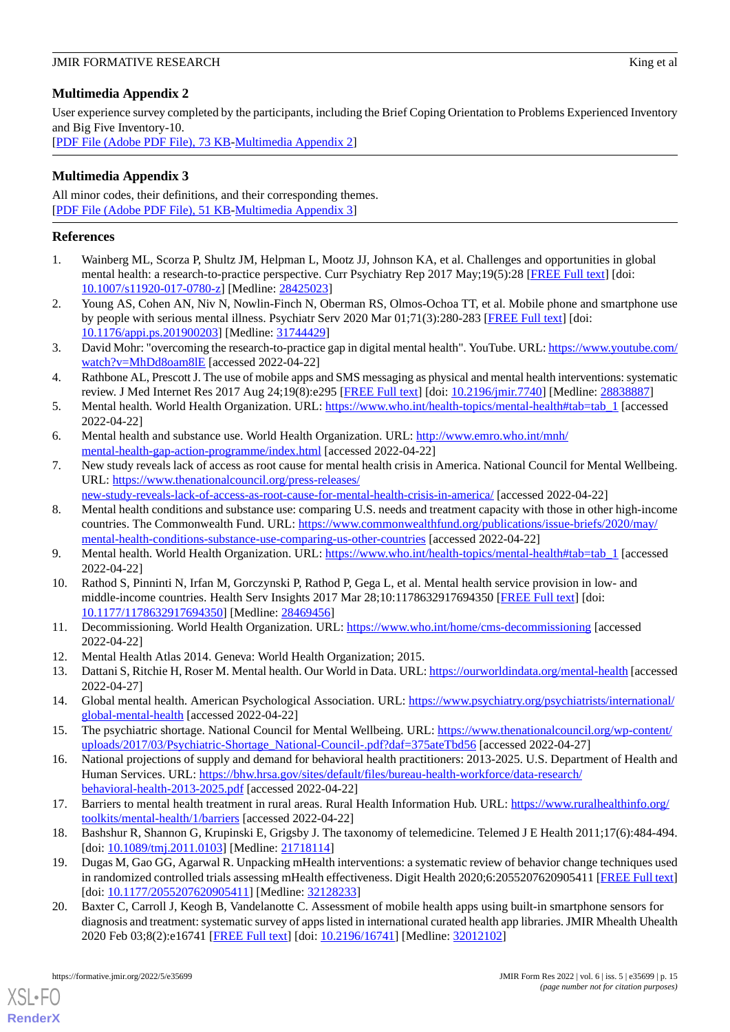# <span id="page-14-20"></span>**Multimedia Appendix 2**

User experience survey completed by the participants, including the Brief Coping Orientation to Problems Experienced Inventory and Big Five Inventory-10.

[[PDF File \(Adobe PDF File\), 73 KB](https://jmir.org/api/download?alt_name=formative_v6i5e35699_app2.pdf&filename=d2628e33be8ba9c5cd22ce955bb32072.pdf)-[Multimedia Appendix 2\]](https://jmir.org/api/download?alt_name=formative_v6i5e35699_app2.pdf&filename=d2628e33be8ba9c5cd22ce955bb32072.pdf)

# <span id="page-14-21"></span>**Multimedia Appendix 3**

All minor codes, their definitions, and their corresponding themes. [[PDF File \(Adobe PDF File\), 51 KB](https://jmir.org/api/download?alt_name=formative_v6i5e35699_app3.pdf&filename=444e2b2638c926ac4f4afad0bfd4afc8.pdf)-[Multimedia Appendix 3\]](https://jmir.org/api/download?alt_name=formative_v6i5e35699_app3.pdf&filename=444e2b2638c926ac4f4afad0bfd4afc8.pdf)

# <span id="page-14-0"></span>**References**

- <span id="page-14-1"></span>1. Wainberg ML, Scorza P, Shultz JM, Helpman L, Mootz JJ, Johnson KA, et al. Challenges and opportunities in global mental health: a research-to-practice perspective. Curr Psychiatry Rep 2017 May;19(5):28 [[FREE Full text](http://europepmc.org/abstract/MED/28425023)] [doi: [10.1007/s11920-017-0780-z](http://dx.doi.org/10.1007/s11920-017-0780-z)] [Medline: [28425023\]](http://www.ncbi.nlm.nih.gov/entrez/query.fcgi?cmd=Retrieve&db=PubMed&list_uids=28425023&dopt=Abstract)
- <span id="page-14-2"></span>2. Young AS, Cohen AN, Niv N, Nowlin-Finch N, Oberman RS, Olmos-Ochoa TT, et al. Mobile phone and smartphone use by people with serious mental illness. Psychiatr Serv 2020 Mar 01;71(3):280-283 [\[FREE Full text\]](http://europepmc.org/abstract/MED/31744429) [doi: [10.1176/appi.ps.201900203\]](http://dx.doi.org/10.1176/appi.ps.201900203) [Medline: [31744429\]](http://www.ncbi.nlm.nih.gov/entrez/query.fcgi?cmd=Retrieve&db=PubMed&list_uids=31744429&dopt=Abstract)
- <span id="page-14-3"></span>3. David Mohr: "overcoming the research-to-practice gap in digital mental health". YouTube. URL: [https://www.youtube.com/](https://www.youtube.com/watch?v=MhDd8oam8lE) [watch?v=MhDd8oam8lE](https://www.youtube.com/watch?v=MhDd8oam8lE) [accessed 2022-04-22]
- <span id="page-14-4"></span>4. Rathbone AL, Prescott J. The use of mobile apps and SMS messaging as physical and mental health interventions: systematic review. J Med Internet Res 2017 Aug 24;19(8):e295 [[FREE Full text](https://www.jmir.org/2017/8/e295/)] [doi: [10.2196/jmir.7740](http://dx.doi.org/10.2196/jmir.7740)] [Medline: [28838887\]](http://www.ncbi.nlm.nih.gov/entrez/query.fcgi?cmd=Retrieve&db=PubMed&list_uids=28838887&dopt=Abstract)
- <span id="page-14-6"></span><span id="page-14-5"></span>5. Mental health. World Health Organization. URL: [https://www.who.int/health-topics/mental-health#tab=tab\\_1](https://www.who.int/health-topics/mental-health#tab=tab_1) [accessed 2022-04-22]
- 6. Mental health and substance use. World Health Organization. URL: [http://www.emro.who.int/mnh/](http://www.emro.who.int/mnh/mental-health-gap-action-programme/index.html) [mental-health-gap-action-programme/index.html](http://www.emro.who.int/mnh/mental-health-gap-action-programme/index.html) [accessed 2022-04-22]
- <span id="page-14-7"></span>7. New study reveals lack of access as root cause for mental health crisis in America. National Council for Mental Wellbeing. URL: [https://www.thenationalcouncil.org/press-releases/](https://www.thenationalcouncil.org/press-releases/new-study-reveals-lack-of-access-as-root-cause-for-mental-health-crisis-in-america/)
- <span id="page-14-8"></span>[new-study-reveals-lack-of-access-as-root-cause-for-mental-health-crisis-in-america/](https://www.thenationalcouncil.org/press-releases/new-study-reveals-lack-of-access-as-root-cause-for-mental-health-crisis-in-america/) [accessed 2022-04-22]
- <span id="page-14-9"></span>8. Mental health conditions and substance use: comparing U.S. needs and treatment capacity with those in other high-income countries. The Commonwealth Fund. URL: [https://www.commonwealthfund.org/publications/issue-briefs/2020/may/](https://www.commonwealthfund.org/publications/issue-briefs/2020/may/mental-health-conditions-substance-use-comparing-us-other-countries) [mental-health-conditions-substance-use-comparing-us-other-countries](https://www.commonwealthfund.org/publications/issue-briefs/2020/may/mental-health-conditions-substance-use-comparing-us-other-countries) [accessed 2022-04-22]
- <span id="page-14-10"></span>9. Mental health. World Health Organization. URL: [https://www.who.int/health-topics/mental-health#tab=tab\\_1](https://www.who.int/health-topics/mental-health#tab=tab_1) [accessed 2022-04-22]
- <span id="page-14-12"></span><span id="page-14-11"></span>10. Rathod S, Pinninti N, Irfan M, Gorczynski P, Rathod P, Gega L, et al. Mental health service provision in low- and middle-income countries. Health Serv Insights 2017 Mar 28;10:1178632917694350 [\[FREE Full text\]](https://journals.sagepub.com/doi/10.1177/1178632917694350?url_ver=Z39.88-2003&rfr_id=ori:rid:crossref.org&rfr_dat=cr_pub%3dpubmed) [doi: [10.1177/1178632917694350\]](http://dx.doi.org/10.1177/1178632917694350) [Medline: [28469456\]](http://www.ncbi.nlm.nih.gov/entrez/query.fcgi?cmd=Retrieve&db=PubMed&list_uids=28469456&dopt=Abstract)
- <span id="page-14-13"></span>11. Decommissioning. World Health Organization. URL: <https://www.who.int/home/cms-decommissioning> [accessed 2022-04-22]
- <span id="page-14-14"></span>12. Mental Health Atlas 2014. Geneva: World Health Organization; 2015.
- <span id="page-14-15"></span>13. Dattani S, Ritchie H, Roser M. Mental health. Our World in Data. URL:<https://ourworldindata.org/mental-health> [accessed 2022-04-27]
- 14. Global mental health. American Psychological Association. URL: [https://www.psychiatry.org/psychiatrists/international/](https://www.psychiatry.org/psychiatrists/international/global-mental-health) [global-mental-health](https://www.psychiatry.org/psychiatrists/international/global-mental-health) [accessed 2022-04-22]
- <span id="page-14-16"></span>15. The psychiatric shortage. National Council for Mental Wellbeing. URL: [https://www.thenationalcouncil.org/wp-content/](https://www.thenationalcouncil.org/wp-content/uploads/2017/03/Psychiatric-Shortage_National-Council-.pdf?daf=375ateTbd56) [uploads/2017/03/Psychiatric-Shortage\\_National-Council-.pdf?daf=375ateTbd56](https://www.thenationalcouncil.org/wp-content/uploads/2017/03/Psychiatric-Shortage_National-Council-.pdf?daf=375ateTbd56) [accessed 2022-04-27]
- <span id="page-14-18"></span><span id="page-14-17"></span>16. National projections of supply and demand for behavioral health practitioners: 2013-2025. U.S. Department of Health and Human Services. URL: [https://bhw.hrsa.gov/sites/default/files/bureau-health-workforce/data-research/](https://bhw.hrsa.gov/sites/default/files/bureau-health-workforce/data-research/behavioral-health-2013-2025.pdf) [behavioral-health-2013-2025.pdf](https://bhw.hrsa.gov/sites/default/files/bureau-health-workforce/data-research/behavioral-health-2013-2025.pdf) [accessed 2022-04-22]
- <span id="page-14-19"></span>17. Barriers to mental health treatment in rural areas. Rural Health Information Hub. URL: [https://www.ruralhealthinfo.org/](https://www.ruralhealthinfo.org/toolkits/mental-health/1/barriers) [toolkits/mental-health/1/barriers](https://www.ruralhealthinfo.org/toolkits/mental-health/1/barriers) [accessed 2022-04-22]
- 18. Bashshur R, Shannon G, Krupinski E, Grigsby J. The taxonomy of telemedicine. Telemed J E Health 2011;17(6):484-494. [doi: [10.1089/tmj.2011.0103\]](http://dx.doi.org/10.1089/tmj.2011.0103) [Medline: [21718114](http://www.ncbi.nlm.nih.gov/entrez/query.fcgi?cmd=Retrieve&db=PubMed&list_uids=21718114&dopt=Abstract)]
- 19. Dugas M, Gao GG, Agarwal R. Unpacking mHealth interventions: a systematic review of behavior change techniques used in randomized controlled trials assessing mHealth effectiveness. Digit Health 2020;6:2055207620905411 [[FREE Full text](https://journals.sagepub.com/doi/10.1177/2055207620905411?url_ver=Z39.88-2003&rfr_id=ori:rid:crossref.org&rfr_dat=cr_pub%3dpubmed)] [doi: [10.1177/2055207620905411](http://dx.doi.org/10.1177/2055207620905411)] [Medline: [32128233\]](http://www.ncbi.nlm.nih.gov/entrez/query.fcgi?cmd=Retrieve&db=PubMed&list_uids=32128233&dopt=Abstract)
- 20. Baxter C, Carroll J, Keogh B, Vandelanotte C. Assessment of mobile health apps using built-in smartphone sensors for diagnosis and treatment: systematic survey of apps listed in international curated health app libraries. JMIR Mhealth Uhealth 2020 Feb 03;8(2):e16741 [\[FREE Full text](https://mhealth.jmir.org/2020/2/e16741/)] [doi: [10.2196/16741\]](http://dx.doi.org/10.2196/16741) [Medline: [32012102\]](http://www.ncbi.nlm.nih.gov/entrez/query.fcgi?cmd=Retrieve&db=PubMed&list_uids=32012102&dopt=Abstract)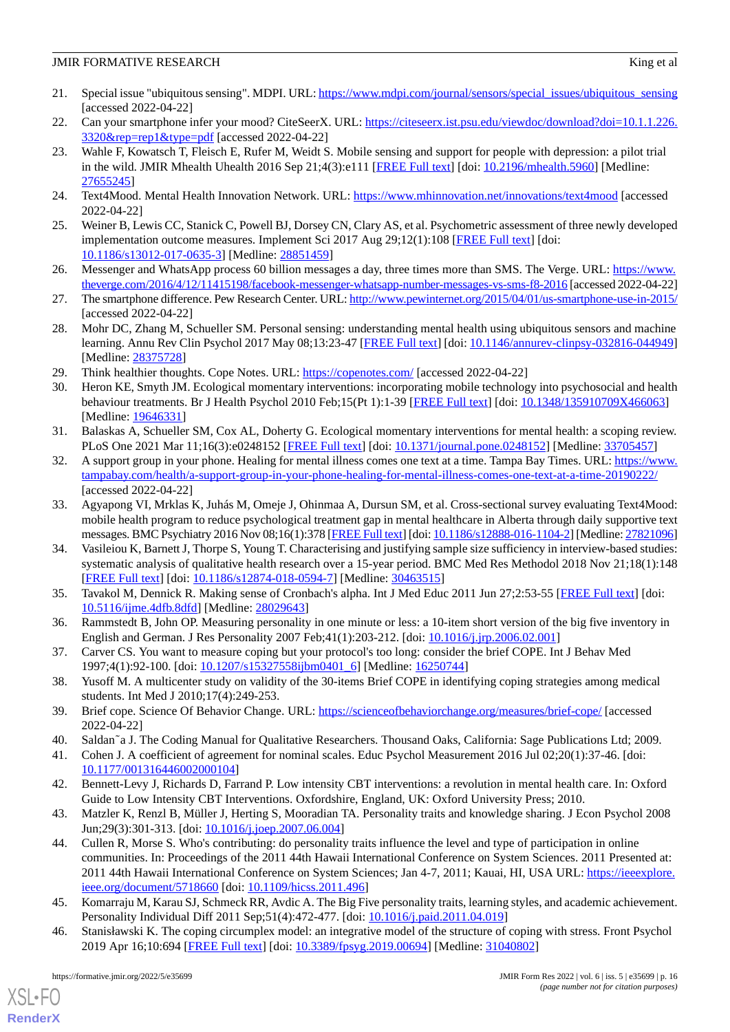- <span id="page-15-0"></span>21. Special issue "ubiquitous sensing". MDPI. URL: [https://www.mdpi.com/journal/sensors/special\\_issues/ubiquitous\\_sensing](https://www.mdpi.com/journal/sensors/special_issues/ubiquitous_sensing) [accessed 2022-04-22]
- <span id="page-15-2"></span><span id="page-15-1"></span>22. Can your smartphone infer your mood? CiteSeerX. URL: [https://citeseerx.ist.psu.edu/viewdoc/download?doi=10.1.1.226.](https://citeseerx.ist.psu.edu/viewdoc/download?doi=10.1.1.226.3320&rep=rep1&type=pdf) [3320&rep=rep1&type=pdf](https://citeseerx.ist.psu.edu/viewdoc/download?doi=10.1.1.226.3320&rep=rep1&type=pdf) [accessed 2022-04-22]
- 23. Wahle F, Kowatsch T, Fleisch E, Rufer M, Weidt S. Mobile sensing and support for people with depression: a pilot trial in the wild. JMIR Mhealth Uhealth 2016 Sep 21;4(3):e111 [\[FREE Full text\]](https://mhealth.jmir.org/2016/3/e111/) [doi: [10.2196/mhealth.5960\]](http://dx.doi.org/10.2196/mhealth.5960) [Medline: [27655245](http://www.ncbi.nlm.nih.gov/entrez/query.fcgi?cmd=Retrieve&db=PubMed&list_uids=27655245&dopt=Abstract)]
- <span id="page-15-4"></span><span id="page-15-3"></span>24. Text4Mood. Mental Health Innovation Network. URL:<https://www.mhinnovation.net/innovations/text4mood> [accessed 2022-04-22]
- <span id="page-15-5"></span>25. Weiner B, Lewis CC, Stanick C, Powell BJ, Dorsey CN, Clary AS, et al. Psychometric assessment of three newly developed implementation outcome measures. Implement Sci 2017 Aug 29;12(1):108 [\[FREE Full text\]](https://doi.org/10.1186/s13012-017-0635-3) [doi: [10.1186/s13012-017-0635-3\]](http://dx.doi.org/10.1186/s13012-017-0635-3) [Medline: [28851459](http://www.ncbi.nlm.nih.gov/entrez/query.fcgi?cmd=Retrieve&db=PubMed&list_uids=28851459&dopt=Abstract)]
- <span id="page-15-6"></span>26. Messenger and WhatsApp process 60 billion messages a day, three times more than SMS. The Verge. URL: [https://www.](https://www.theverge.com/2016/4/12/11415198/facebook-messenger-whatsapp-number-messages-vs-sms-f8-2016) [theverge.com/2016/4/12/11415198/facebook-messenger-whatsapp-number-messages-vs-sms-f8-2016](https://www.theverge.com/2016/4/12/11415198/facebook-messenger-whatsapp-number-messages-vs-sms-f8-2016) [accessed 2022-04-22]
- <span id="page-15-7"></span>27. The smartphone difference. Pew Research Center. URL:<http://www.pewinternet.org/2015/04/01/us-smartphone-use-in-2015/> [accessed 2022-04-22]
- <span id="page-15-9"></span><span id="page-15-8"></span>28. Mohr DC, Zhang M, Schueller SM. Personal sensing: understanding mental health using ubiquitous sensors and machine learning. Annu Rev Clin Psychol 2017 May 08;13:23-47 [[FREE Full text\]](http://europepmc.org/abstract/MED/28375728) [doi: [10.1146/annurev-clinpsy-032816-044949](http://dx.doi.org/10.1146/annurev-clinpsy-032816-044949)] [Medline: [28375728](http://www.ncbi.nlm.nih.gov/entrez/query.fcgi?cmd=Retrieve&db=PubMed&list_uids=28375728&dopt=Abstract)]
- 29. Think healthier thoughts. Cope Notes. URL:<https://copenotes.com/> [accessed 2022-04-22]
- <span id="page-15-10"></span>30. Heron KE, Smyth JM. Ecological momentary interventions: incorporating mobile technology into psychosocial and health behaviour treatments. Br J Health Psychol 2010 Feb;15(Pt 1):1-39 [\[FREE Full text\]](http://europepmc.org/abstract/MED/19646331) [doi: [10.1348/135910709X466063](http://dx.doi.org/10.1348/135910709X466063)] [Medline: [19646331](http://www.ncbi.nlm.nih.gov/entrez/query.fcgi?cmd=Retrieve&db=PubMed&list_uids=19646331&dopt=Abstract)]
- <span id="page-15-11"></span>31. Balaskas A, Schueller SM, Cox AL, Doherty G. Ecological momentary interventions for mental health: a scoping review. PLoS One 2021 Mar 11;16(3):e0248152 [[FREE Full text\]](https://dx.plos.org/10.1371/journal.pone.0248152) [doi: [10.1371/journal.pone.0248152](http://dx.doi.org/10.1371/journal.pone.0248152)] [Medline: [33705457](http://www.ncbi.nlm.nih.gov/entrez/query.fcgi?cmd=Retrieve&db=PubMed&list_uids=33705457&dopt=Abstract)]
- <span id="page-15-12"></span>32. A support group in your phone. Healing for mental illness comes one text at a time. Tampa Bay Times. URL: [https://www.](https://www.tampabay.com/health/a-support-group-in-your-phone-healing-for-mental-illness-comes-one-text-at-a-time-20190222/) [tampabay.com/health/a-support-group-in-your-phone-healing-for-mental-illness-comes-one-text-at-a-time-20190222/](https://www.tampabay.com/health/a-support-group-in-your-phone-healing-for-mental-illness-comes-one-text-at-a-time-20190222/) [accessed 2022-04-22]
- <span id="page-15-13"></span>33. Agyapong VI, Mrklas K, Juhás M, Omeje J, Ohinmaa A, Dursun SM, et al. Cross-sectional survey evaluating Text4Mood: mobile health program to reduce psychological treatment gap in mental healthcare in Alberta through daily supportive text messages. BMC Psychiatry 2016 Nov 08;16(1):378 [\[FREE Full text](https://bmcpsychiatry.biomedcentral.com/articles/10.1186/s12888-016-1104-2)] [doi: [10.1186/s12888-016-1104-2\]](http://dx.doi.org/10.1186/s12888-016-1104-2) [Medline: [27821096](http://www.ncbi.nlm.nih.gov/entrez/query.fcgi?cmd=Retrieve&db=PubMed&list_uids=27821096&dopt=Abstract)]
- <span id="page-15-15"></span><span id="page-15-14"></span>34. Vasileiou K, Barnett J, Thorpe S, Young T. Characterising and justifying sample size sufficiency in interview-based studies: systematic analysis of qualitative health research over a 15-year period. BMC Med Res Methodol 2018 Nov 21;18(1):148 [[FREE Full text](https://bmcmedresmethodol.biomedcentral.com/articles/10.1186/s12874-018-0594-7)] [doi: [10.1186/s12874-018-0594-7\]](http://dx.doi.org/10.1186/s12874-018-0594-7) [Medline: [30463515](http://www.ncbi.nlm.nih.gov/entrez/query.fcgi?cmd=Retrieve&db=PubMed&list_uids=30463515&dopt=Abstract)]
- <span id="page-15-16"></span>35. Tavakol M, Dennick R. Making sense of Cronbach's alpha. Int J Med Educ 2011 Jun 27;2:53-55 [\[FREE Full text\]](https://www.ijme.net/pmid/28029643) [doi: [10.5116/ijme.4dfb.8dfd\]](http://dx.doi.org/10.5116/ijme.4dfb.8dfd) [Medline: [28029643\]](http://www.ncbi.nlm.nih.gov/entrez/query.fcgi?cmd=Retrieve&db=PubMed&list_uids=28029643&dopt=Abstract)
- <span id="page-15-17"></span>36. Rammstedt B, John OP. Measuring personality in one minute or less: a 10-item short version of the big five inventory in English and German. J Res Personality 2007 Feb;41(1):203-212. [doi: [10.1016/j.jrp.2006.02.001\]](http://dx.doi.org/10.1016/j.jrp.2006.02.001)
- <span id="page-15-18"></span>37. Carver CS. You want to measure coping but your protocol's too long: consider the brief COPE. Int J Behav Med 1997;4(1):92-100. [doi: [10.1207/s15327558ijbm0401\\_6\]](http://dx.doi.org/10.1207/s15327558ijbm0401_6) [Medline: [16250744\]](http://www.ncbi.nlm.nih.gov/entrez/query.fcgi?cmd=Retrieve&db=PubMed&list_uids=16250744&dopt=Abstract)
- <span id="page-15-20"></span><span id="page-15-19"></span>38. Yusoff M. A multicenter study on validity of the 30-items Brief COPE in identifying coping strategies among medical students. Int Med J 2010;17(4):249-253.
- <span id="page-15-21"></span>39. Brief cope. Science Of Behavior Change. URL: <https://scienceofbehaviorchange.org/measures/brief-cope/> [accessed 2022-04-22]
- <span id="page-15-22"></span>40. Saldaña J. The Coding Manual for Qualitative Researchers. Thousand Oaks, California: Sage Publications Ltd; 2009.
- <span id="page-15-23"></span>41. Cohen J. A coefficient of agreement for nominal scales. Educ Psychol Measurement 2016 Jul 02;20(1):37-46. [doi: [10.1177/001316446002000104\]](http://dx.doi.org/10.1177/001316446002000104)
- 42. Bennett-Levy J, Richards D, Farrand P. Low intensity CBT interventions: a revolution in mental health care. In: Oxford Guide to Low Intensity CBT Interventions. Oxfordshire, England, UK: Oxford University Press; 2010.
- <span id="page-15-24"></span>43. Matzler K, Renzl B, Müller J, Herting S, Mooradian TA. Personality traits and knowledge sharing. J Econ Psychol 2008 Jun;29(3):301-313. [doi: [10.1016/j.joep.2007.06.004\]](http://dx.doi.org/10.1016/j.joep.2007.06.004)
- <span id="page-15-25"></span>44. Cullen R, Morse S. Who's contributing: do personality traits influence the level and type of participation in online communities. In: Proceedings of the 2011 44th Hawaii International Conference on System Sciences. 2011 Presented at: 2011 44th Hawaii International Conference on System Sciences; Jan 4-7, 2011; Kauai, HI, USA URL: [https://ieeexplore.](https://ieeexplore.ieee.org/document/5718660) [ieee.org/document/5718660](https://ieeexplore.ieee.org/document/5718660) [doi: [10.1109/hicss.2011.496](http://dx.doi.org/10.1109/hicss.2011.496)]
- 45. Komarraju M, Karau SJ, Schmeck RR, Avdic A. The Big Five personality traits, learning styles, and academic achievement. Personality Individual Diff 2011 Sep;51(4):472-477. [doi: [10.1016/j.paid.2011.04.019](http://dx.doi.org/10.1016/j.paid.2011.04.019)]
- 46. Stanisławski K. The coping circumplex model: an integrative model of the structure of coping with stress. Front Psychol 2019 Apr 16;10:694 [[FREE Full text\]](https://doi.org/10.3389/fpsyg.2019.00694) [doi: [10.3389/fpsyg.2019.00694\]](http://dx.doi.org/10.3389/fpsyg.2019.00694) [Medline: [31040802](http://www.ncbi.nlm.nih.gov/entrez/query.fcgi?cmd=Retrieve&db=PubMed&list_uids=31040802&dopt=Abstract)]